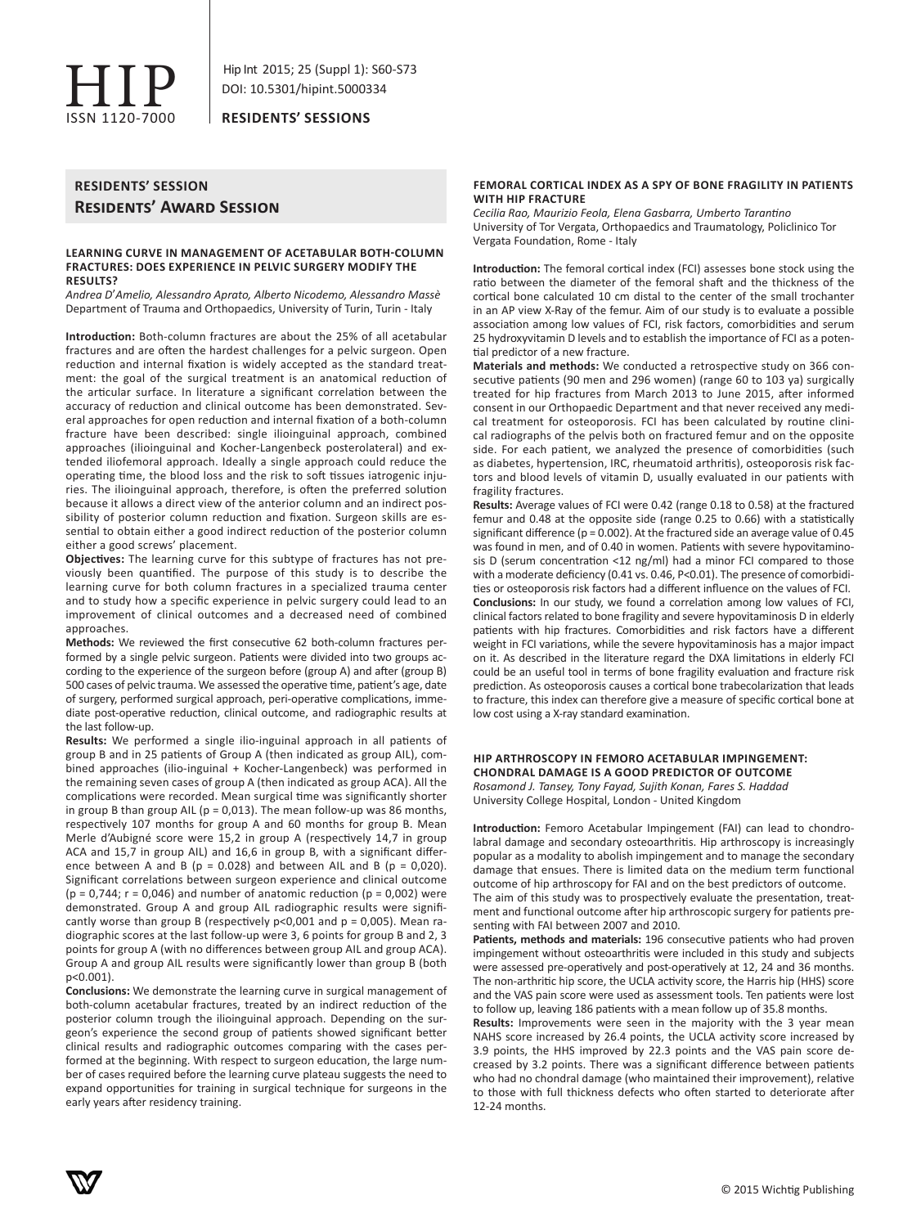

**RESIDENTS' SESSIONS**

# **RESIDENTS' SESSION Residents' Award Session**

#### **LEARNING CURVE IN MANAGEMENT OF ACETABULAR BOTH-COLUMN FRACTURES: DOES EXPERIENCE IN PELVIC SURGERY MODIFY THE RESULTS?**

*Andrea D*�*Amelio, Alessandro Aprato, Alberto Nicodemo, Alessandro Massè*  Department of Trauma and Orthopaedics, University of Turin, Turin - Italy

**Introduction:** Both-column fractures are about the 25% of all acetabular fractures and are often the hardest challenges for a pelvic surgeon. Open reduction and internal fixation is widely accepted as the standard treatment: the goal of the surgical treatment is an anatomical reduction of the articular surface. In literature a significant correlation between the accuracy of reduction and clinical outcome has been demonstrated. Several approaches for open reduction and internal fixation of a both-column fracture have been described: single ilioinguinal approach, combined approaches (ilioinguinal and Kocher-Langenbeck posterolateral) and extended iliofemoral approach. Ideally a single approach could reduce the operating time, the blood loss and the risk to soft tissues iatrogenic injuries. The ilioinguinal approach, therefore, is often the preferred solution because it allows a direct view of the anterior column and an indirect possibility of posterior column reduction and fixation. Surgeon skills are essential to obtain either a good indirect reduction of the posterior column either a good screws' placement.

**Objectives:** The learning curve for this subtype of fractures has not previously been quantified. The purpose of this study is to describe the learning curve for both column fractures in a specialized trauma center and to study how a specific experience in pelvic surgery could lead to an improvement of clinical outcomes and a decreased need of combined approaches.

**Methods:** We reviewed the first consecutive 62 both-column fractures performed by a single pelvic surgeon. Patients were divided into two groups according to the experience of the surgeon before (group A) and after (group B) 500 cases of pelvic trauma. We assessed the operative time, patient's age, date of surgery, performed surgical approach, peri-operative complications, immediate post-operative reduction, clinical outcome, and radiographic results at the last follow-up.

**Results:** We performed a single ilio-inguinal approach in all patients of group B and in 25 patients of Group A (then indicated as group AIL), combined approaches (ilio-inguinal + Kocher-Langenbeck) was performed in the remaining seven cases of group A (then indicated as group ACA). All the complications were recorded. Mean surgical time was significantly shorter in group B than group AIL ( $p = 0.013$ ). The mean follow-up was 86 months, respectively 107 months for group A and 60 months for group B. Mean Merle d'Aubigné score were 15,2 in group A (respectively 14,7 in group ACA and 15,7 in group AIL) and 16,6 in group B, with a significant difference between A and B ( $p = 0.028$ ) and between AIL and B ( $p = 0.020$ ). Significant correlations between surgeon experience and clinical outcome ( $p = 0.744$ ;  $r = 0.046$ ) and number of anatomic reduction ( $p = 0.002$ ) were demonstrated. Group A and group AIL radiographic results were significantly worse than group B (respectively  $p<0,001$  and  $p = 0,005$ ). Mean radiographic scores at the last follow-up were 3, 6 points for group B and 2, 3 points for group A (with no differences between group AIL and group ACA). Group A and group AIL results were significantly lower than group B (both p<0.001).

**Conclusions:** We demonstrate the learning curve in surgical management of both-column acetabular fractures, treated by an indirect reduction of the posterior column trough the ilioinguinal approach. Depending on the surgeon's experience the second group of patients showed significant better clinical results and radiographic outcomes comparing with the cases performed at the beginning. With respect to surgeon education, the large number of cases required before the learning curve plateau suggests the need to expand opportunities for training in surgical technique for surgeons in the early years after residency training.

#### **FEMORAL CORTICAL INDEX AS A SPY OF BONE FRAGILITY IN PATIENTS WITH HIP FRACTURE**

*Cecilia Rao, Maurizio Feola, Elena Gasbarra, Umberto Tarantino* University of Tor Vergata, Orthopaedics and Traumatology, Policlinico Tor Vergata Foundation, Rome - Italy

**Introduction:** The femoral cortical index (FCI) assesses bone stock using the ratio between the diameter of the femoral shaft and the thickness of the cortical bone calculated 10 cm distal to the center of the small trochanter in an AP view X-Ray of the femur. Aim of our study is to evaluate a possible association among low values of FCI, risk factors, comorbidities and serum 25 hydroxyvitamin D levels and to establish the importance of FCI as a potential predictor of a new fracture.

**Materials and methods:** We conducted a retrospective study on 366 consecutive patients (90 men and 296 women) (range 60 to 103 ya) surgically treated for hip fractures from March 2013 to June 2015, after informed consent in our Orthopaedic Department and that never received any medical treatment for osteoporosis. FCI has been calculated by routine clinical radiographs of the pelvis both on fractured femur and on the opposite side. For each patient, we analyzed the presence of comorbidities (such as diabetes, hypertension, IRC, rheumatoid arthritis), osteoporosis risk factors and blood levels of vitamin D, usually evaluated in our patients with fragility fractures.

**Results:** Average values of FCI were 0.42 (range 0.18 to 0.58) at the fractured femur and 0.48 at the opposite side (range 0.25 to 0.66) with a statistically significant difference ( $p = 0.002$ ). At the fractured side an average value of 0.45 was found in men, and of 0.40 in women. Patients with severe hypovitaminosis D (serum concentration <12 ng/ml) had a minor FCI compared to those with a moderate deficiency (0.41 vs. 0.46, P<0.01). The presence of comorbidities or osteoporosis risk factors had a different influence on the values of FCI. **Conclusions:** In our study, we found a correlation among low values of FCI, clinical factors related to bone fragility and severe hypovitaminosis D in elderly patients with hip fractures. Comorbidities and risk factors have a different weight in FCI variations, while the severe hypovitaminosis has a major impact on it. As described in the literature regard the DXA limitations in elderly FCI could be an useful tool in terms of bone fragility evaluation and fracture risk prediction. As osteoporosis causes a cortical bone trabecolarization that leads to fracture, this index can therefore give a measure of specific cortical bone at low cost using a X-ray standard examination.

## **HIP ARTHROSCOPY IN FEMORO ACETABULAR IMPINGEMENT: CHONDRAL DAMAGE IS A GOOD PREDICTOR OF OUTCOME**

*Rosamond J. Tansey, Tony Fayad, Sujith Konan, Fares S. Haddad* University College Hospital, London - United Kingdom

**Introduction:** Femoro Acetabular Impingement (FAI) can lead to chondrolabral damage and secondary osteoarthritis. Hip arthroscopy is increasingly popular as a modality to abolish impingement and to manage the secondary damage that ensues. There is limited data on the medium term functional outcome of hip arthroscopy for FAI and on the best predictors of outcome. The aim of this study was to prospectively evaluate the presentation, treatment and functional outcome after hip arthroscopic surgery for patients presenting with FAI between 2007 and 2010.

**Patients, methods and materials:** 196 consecutive patients who had proven impingement without osteoarthritis were included in this study and subjects were assessed pre-operatively and post-operatively at 12, 24 and 36 months. The non-arthritic hip score, the UCLA activity score, the Harris hip (HHS) score and the VAS pain score were used as assessment tools. Ten patients were lost to follow up, leaving 186 patients with a mean follow up of 35.8 months.

**Results:** Improvements were seen in the majority with the 3 year mean NAHS score increased by 26.4 points, the UCLA activity score increased by 3.9 points, the HHS improved by 22.3 points and the VAS pain score decreased by 3.2 points. There was a significant difference between patients who had no chondral damage (who maintained their improvement), relative to those with full thickness defects who often started to deteriorate after 12-24 months.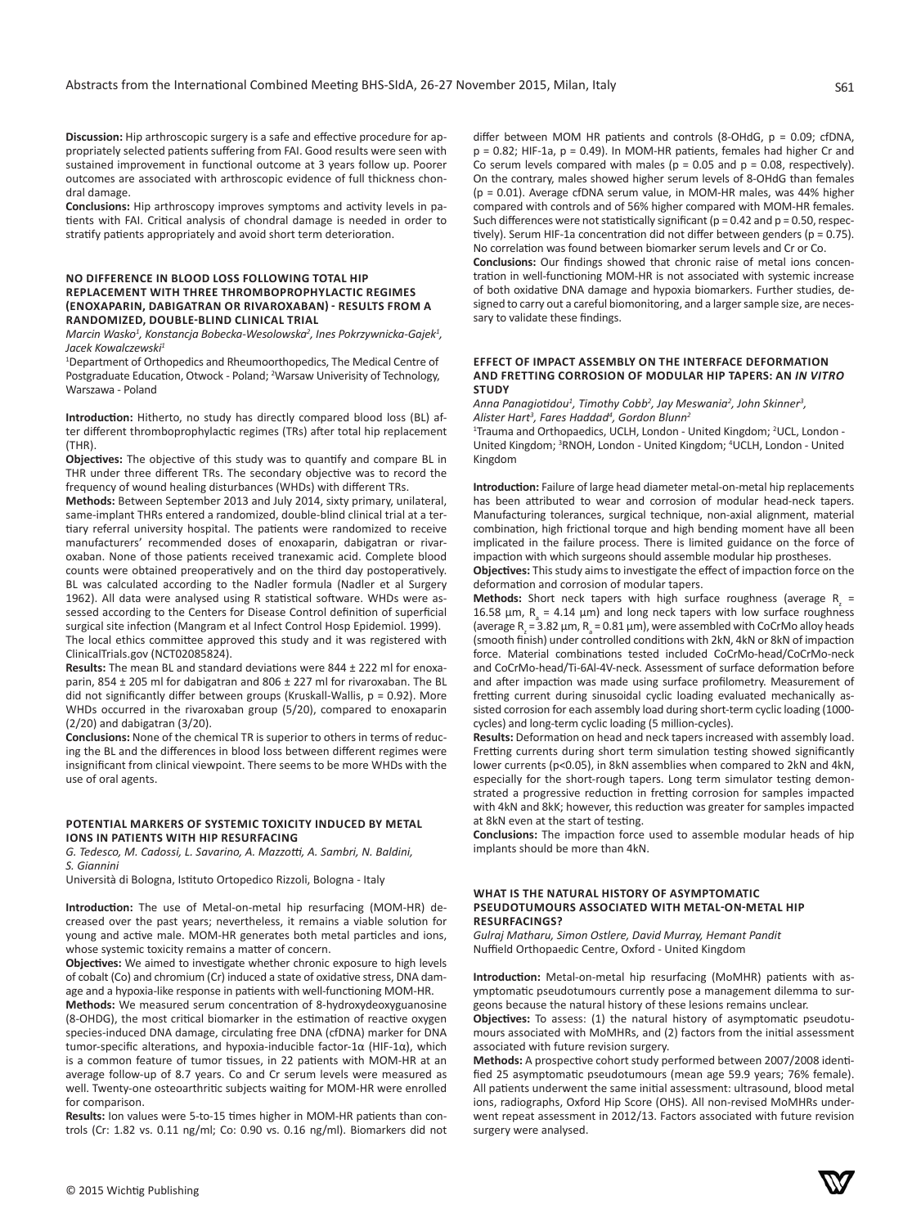**Discussion:** Hip arthroscopic surgery is a safe and effective procedure for appropriately selected patients suffering from FAI. Good results were seen with sustained improvement in functional outcome at 3 years follow up. Poorer outcomes are associated with arthroscopic evidence of full thickness chondral damage.

**Conclusions:** Hip arthroscopy improves symptoms and activity levels in patients with FAI. Critical analysis of chondral damage is needed in order to stratify patients appropriately and avoid short term deterioration.

## **NO DIFFERENCE IN BLOOD LOSS FOLLOWING TOTAL HIP REPLACEMENT WITH THREE THROMBOPROPHYLACTIC REGIMES (ENOXAPARIN, DABIGATRAN OR RIVAROXABAN) - RESULTS FROM A RANDOMIZED, DOUBLE-BLIND CLINICAL TRIAL**

Marcin Wasko<sup>1</sup>, Konstancja Bobecka-Wesolowska<sup>2</sup>, Ines Pokrzywnicka-Gajek<sup>1</sup>, *Jacek Kowalczewski1* 

1 Department of Orthopedics and Rheumoorthopedics, The Medical Centre of Postgraduate Education, Otwock - Poland; <sup>2</sup>Warsaw Univerisity of Technology, Warszawa - Poland

**Introduction:** Hitherto, no study has directly compared blood loss (BL) after different thromboprophylactic regimes (TRs) after total hip replacement (THR).

**Objectives:** The objective of this study was to quantify and compare BL in THR under three different TRs. The secondary objective was to record the frequency of wound healing disturbances (WHDs) with different TRs.

**Methods:** Between September 2013 and July 2014, sixty primary, unilateral, same-implant THRs entered a randomized, double-blind clinical trial at a tertiary referral university hospital. The patients were randomized to receive manufacturers' recommended doses of enoxaparin, dabigatran or rivaroxaban. None of those patients received tranexamic acid. Complete blood counts were obtained preoperatively and on the third day postoperatively. BL was calculated according to the Nadler formula (Nadler et al Surgery 1962). All data were analysed using R statistical software. WHDs were assessed according to the Centers for Disease Control definition of superficial surgical site infection (Mangram et al Infect Control Hosp Epidemiol. 1999). The local ethics committee approved this study and it was registered with

ClinicalTrials.gov (NCT02085824). **Results:** The mean BL and standard deviations were 844 ± 222 ml for enoxaparin, 854 ± 205 ml for dabigatran and 806 ± 227 ml for rivaroxaban. The BL did not significantly differ between groups (Kruskall-Wallis, p = 0.92). More WHDs occurred in the rivaroxaban group (5/20), compared to enoxaparin (2/20) and dabigatran (3/20).

**Conclusions:** None of the chemical TR is superior to others in terms of reducing the BL and the differences in blood loss between different regimes were insignificant from clinical viewpoint. There seems to be more WHDs with the use of oral agents.

## **POTENTIAL MARKERS OF SYSTEMIC TOXICITY INDUCED BY METAL IONS IN PATIENTS WITH HIP RESURFACING**

*G. Tedesco, M. Cadossi, L. Savarino, A. Mazzotti, A. Sambri, N. Baldini, S. Giannini*

Università di Bologna, Istituto Ortopedico Rizzoli, Bologna - Italy

**Introduction:** The use of Metal-on-metal hip resurfacing (MOM-HR) decreased over the past years; nevertheless, it remains a viable solution for young and active male. MOM-HR generates both metal particles and ions, whose systemic toxicity remains a matter of concern.

**Objectives:** We aimed to investigate whether chronic exposure to high levels of cobalt (Co) and chromium (Cr) induced a state of oxidative stress, DNA damage and a hypoxia-like response in patients with well-functioning MOM-HR.

**Methods:** We measured serum concentration of 8-hydroxydeoxyguanosine (8-OHDG), the most critical biomarker in the estimation of reactive oxygen species-induced DNA damage, circulating free DNA (cfDNA) marker for DNA tumor-specific alterations, and hypoxia-inducible factor-1α (HIF-1α), which is a common feature of tumor tissues, in 22 patients with MOM-HR at an average follow-up of 8.7 years. Co and Cr serum levels were measured as well. Twenty-one osteoarthritic subjects waiting for MOM-HR were enrolled for comparison.

**Results:** Ion values were 5-to-15 times higher in MOM-HR patients than controls (Cr: 1.82 vs. 0.11 ng/ml; Co: 0.90 vs. 0.16 ng/ml). Biomarkers did not differ between MOM HR patients and controls  $(8\text{-}O\text{HdG})$ ,  $p = 0.09$ ; cfDNA,  $p = 0.82$ ; HIF-1a,  $p = 0.49$ ). In MOM-HR patients, females had higher Cr and Co serum levels compared with males ( $p = 0.05$  and  $p = 0.08$ , respectively). On the contrary, males showed higher serum levels of 8-OHdG than females (p = 0.01). Average cfDNA serum value, in MOM-HR males, was 44% higher compared with controls and of 56% higher compared with MOM-HR females. Such differences were not statistically significant ( $p = 0.42$  and  $p = 0.50$ , respectively). Serum HIF-1a concentration did not differ between genders (p = 0.75). No correlation was found between biomarker serum levels and Cr or Co.

**Conclusions:** Our findings showed that chronic raise of metal ions concentration in well-functioning MOM-HR is not associated with systemic increase of both oxidative DNA damage and hypoxia biomarkers. Further studies, designed to carry out a careful biomonitoring, and a larger sample size, are necessary to validate these findings.

## **EFFECT OF IMPACT ASSEMBLY ON THE INTERFACE DEFORMATION AND FRETTING CORROSION OF MODULAR HIP TAPERS: AN** *IN VITRO* **STUDY**

Anna Panagiotidou<sup>1</sup>, Timothy Cobb<sup>2</sup>, Jay Meswania<sup>2</sup>, John Skinner<sup>3</sup>, *Alister Hart3 , Fares Haddad4 , Gordon Blunn2* 

<sup>1</sup>Trauma and Orthopaedics, UCLH, London - United Kingdom; <sup>2</sup>UCL, London -United Kingdom; <sup>3</sup>RNOH, London - United Kingdom; <sup>4</sup>UCLH, London - United Kingdom

**Introduction:** Failure of large head diameter metal-on-metal hip replacements has been attributed to wear and corrosion of modular head-neck tapers. Manufacturing tolerances, surgical technique, non-axial alignment, material combination, high frictional torque and high bending moment have all been implicated in the failure process. There is limited guidance on the force of impaction with which surgeons should assemble modular hip prostheses.

**Objectives:** This study aims to investigate the effect of impaction force on the deformation and corrosion of modular tapers.

**Methods:** Short neck tapers with high surface roughness (average  $R_z =$ 16.58  $\mu$ m, R<sub>a</sub> = 4.14  $\mu$ m) and long neck tapers with low surface roughness (average  $R_z = 3.82 \mu m$ ,  $R_a = 0.81 \mu m$ ), were assembled with CoCrMo alloy heads (smooth finish) under controlled conditions with 2kN, 4kN or 8kN of impaction force. Material combinations tested included CoCrMo-head/CoCrMo-neck and CoCrMo-head/Ti-6Al-4V-neck. Assessment of surface deformation before and after impaction was made using surface profilometry. Measurement of fretting current during sinusoidal cyclic loading evaluated mechanically assisted corrosion for each assembly load during short-term cyclic loading (1000 cycles) and long-term cyclic loading (5 million-cycles).

**Results:** Deformation on head and neck tapers increased with assembly load. Fretting currents during short term simulation testing showed significantly lower currents (p<0.05), in 8kN assemblies when compared to 2kN and 4kN, especially for the short-rough tapers. Long term simulator testing demonstrated a progressive reduction in fretting corrosion for samples impacted with 4kN and 8kK; however, this reduction was greater for samples impacted at 8kN even at the start of testing.

**Conclusions:** The impaction force used to assemble modular heads of hip implants should be more than 4kN.

#### **WHAT IS THE NATURAL HISTORY OF ASYMPTOMATIC PSEUDOTUMOURS ASSOCIATED WITH METAL-ON-METAL HIP RESURFACINGS?**

*Gulraj Matharu, Simon Ostlere, David Murray, Hemant Pandit* Nuffield Orthopaedic Centre, Oxford - United Kingdom

**Introduction:** Metal-on-metal hip resurfacing (MoMHR) patients with asymptomatic pseudotumours currently pose a management dilemma to surgeons because the natural history of these lesions remains unclear.

**Objectives:** To assess: (1) the natural history of asymptomatic pseudotumours associated with MoMHRs, and (2) factors from the initial assessment associated with future revision surgery.

**Methods:** A prospective cohort study performed between 2007/2008 identified 25 asymptomatic pseudotumours (mean age 59.9 years; 76% female). All patients underwent the same initial assessment: ultrasound, blood metal ions, radiographs, Oxford Hip Score (OHS). All non-revised MoMHRs underwent repeat assessment in 2012/13. Factors associated with future revision surgery were analysed.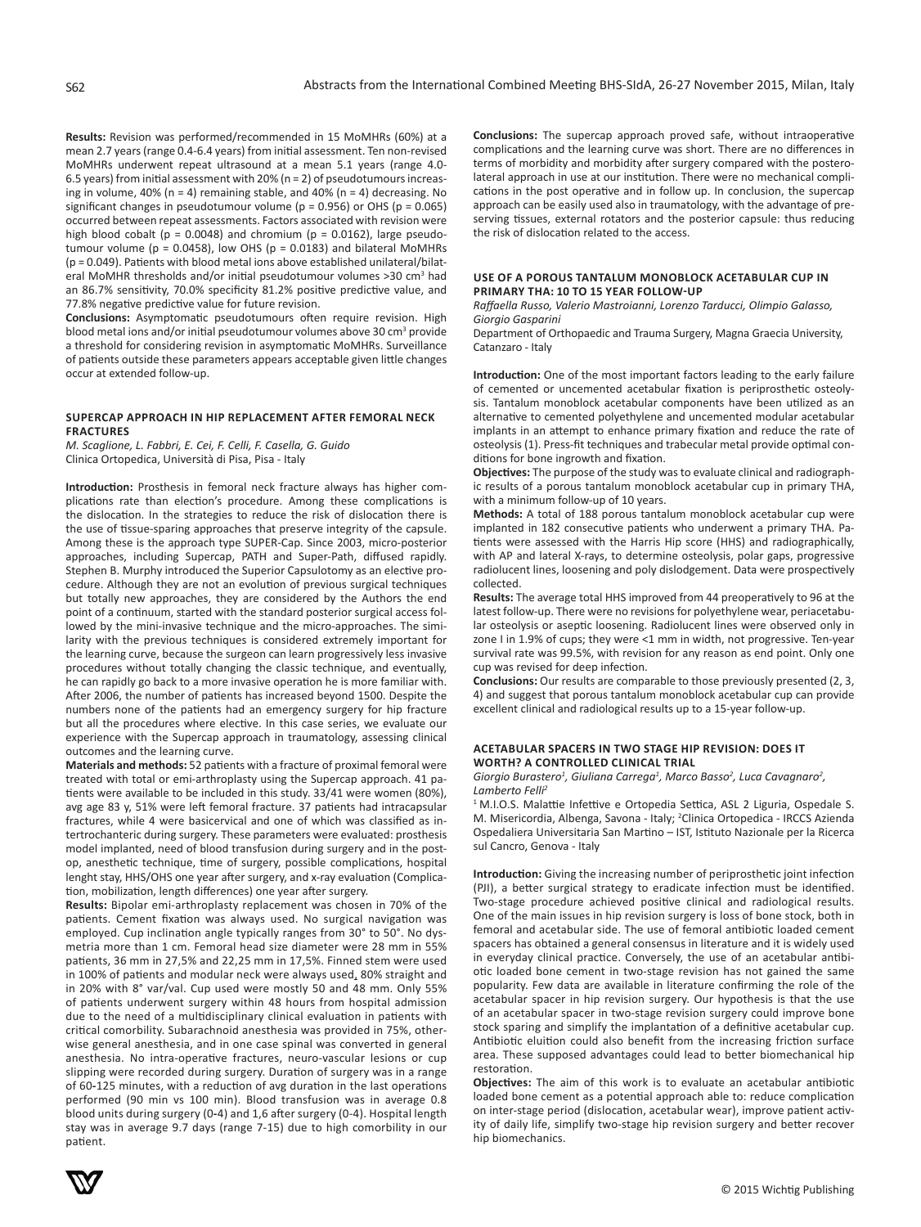**Results:** Revision was performed/recommended in 15 MoMHRs (60%) at a mean 2.7 years (range 0.4-6.4 years) from initial assessment. Ten non-revised MoMHRs underwent repeat ultrasound at a mean 5.1 years (range 4.0- 6.5 years) from initial assessment with 20% (n = 2) of pseudotumours increasing in volume, 40% ( $n = 4$ ) remaining stable, and 40% ( $n = 4$ ) decreasing. No significant changes in pseudotumour volume ( $p = 0.956$ ) or OHS ( $p = 0.065$ ) occurred between repeat assessments. Factors associated with revision were high blood cobalt ( $p = 0.0048$ ) and chromium ( $p = 0.0162$ ), large pseudotumour volume ( $p = 0.0458$ ), low OHS ( $p = 0.0183$ ) and bilateral MoMHRs (p = 0.049). Patients with blood metal ions above established unilateral/bilateral MoMHR thresholds and/or initial pseudotumour volumes >30 cm<sup>3</sup> had an 86.7% sensitivity, 70.0% specificity 81.2% positive predictive value, and 77.8% negative predictive value for future revision.

**Conclusions:** Asymptomatic pseudotumours often require revision. High blood metal ions and/or initial pseudotumour volumes above 30 cm<sup>3</sup> provide a threshold for considering revision in asymptomatic MoMHRs. Surveillance of patients outside these parameters appears acceptable given little changes occur at extended follow-up.

## **SUPERCAP APPROACH IN HIP REPLACEMENT AFTER FEMORAL NECK FRACTURES**

*M. Scaglione, L. Fabbri, E. Cei, F. Celli, F. Casella, G. Guido*  Clinica Ortopedica, Università di Pisa, Pisa - Italy

**Introduction:** Prosthesis in femoral neck fracture always has higher complications rate than election's procedure. Among these complications is the dislocation. In the strategies to reduce the risk of dislocation there is the use of tissue-sparing approaches that preserve integrity of the capsule. Among these is the approach type SUPER-Cap. Since 2003, micro-posterior approaches, including Supercap, PATH and Super-Path, diffused rapidly. Stephen B. Murphy introduced the Superior Capsulotomy as an elective procedure. Although they are not an evolution of previous surgical techniques but totally new approaches, they are considered by the Authors the end point of a continuum, started with the standard posterior surgical access followed by the mini-invasive technique and the micro-approaches. The similarity with the previous techniques is considered extremely important for the learning curve, because the surgeon can learn progressively less invasive procedures without totally changing the classic technique, and eventually, he can rapidly go back to a more invasive operation he is more familiar with. After 2006, the number of patients has increased beyond 1500. Despite the numbers none of the patients had an emergency surgery for hip fracture but all the procedures where elective. In this case series, we evaluate our experience with the Supercap approach in traumatology, assessing clinical outcomes and the learning curve.

**Materials and methods:** 52 patients with a fracture of proximal femoral were treated with total or emi-arthroplasty using the Supercap approach. 41 patients were available to be included in this study. 33/41 were women (80%), avg age 83 y, 51% were left femoral fracture. 37 patients had intracapsular fractures, while 4 were basicervical and one of which was classified as intertrochanteric during surgery. These parameters were evaluated: prosthesis model implanted, need of blood transfusion during surgery and in the postop, anesthetic technique, time of surgery, possible complications, hospital lenght stay, HHS/OHS one year after surgery, and x-ray evaluation (Complication, mobilization, length differences) one year after surgery.

**Results:** Bipolar emi-arthroplasty replacement was chosen in 70% of the patients. Cement fixation was always used. No surgical navigation was employed. Cup inclination angle typically ranges from 30° to 50°. No dysmetria more than 1 cm. Femoral head size diameter were 28 mm in 55% patients, 36 mm in 27,5% and 22,25 mm in 17,5%. Finned stem were used in 100% of patients and modular neck were always used, 80% straight and in 20% with 8° var/val. Cup used were mostly 50 and 48 mm. Only 55% of patients underwent surgery within 48 hours from hospital admission due to the need of a multidisciplinary clinical evaluation in patients with critical comorbility. Subarachnoid anesthesia was provided in 75%, otherwise general anesthesia, and in one case spinal was converted in general anesthesia. No intra-operative fractures, neuro-vascular lesions or cup slipping were recorded during surgery. Duration of surgery was in a range of 60**-**125 minutes, with a reduction of avg duration in the last operations performed (90 min vs 100 min). Blood transfusion was in average 0.8 blood units during surgery (0**-**4) and 1,6 after surgery (0-4). Hospital length stay was in average 9.7 days (range 7-15) due to high comorbility in our patient.

**Conclusions:** The supercap approach proved safe, without intraoperative complications and the learning curve was short. There are no differences in terms of morbidity and morbidity after surgery compared with the posterolateral approach in use at our institution. There were no mechanical complications in the post operative and in follow up. In conclusion, the supercap approach can be easily used also in traumatology, with the advantage of preserving tissues, external rotators and the posterior capsule: thus reducing the risk of dislocation related to the access.

## **USE OF A POROUS TANTALUM MONOBLOCK ACETABULAR CUP IN PRIMARY THA: 10 TO 15 YEAR FOLLOW-UP**

*Raffaella Russo, Valerio Mastroianni, Lorenzo Tarducci, Olimpio Galasso, Giorgio Gasparini*

Department of Orthopaedic and Trauma Surgery, Magna Graecia University, Catanzaro - Italy

**Introduction:** One of the most important factors leading to the early failure of cemented or uncemented acetabular fixation is periprosthetic osteolysis. Tantalum monoblock acetabular components have been utilized as an alternative to cemented polyethylene and uncemented modular acetabular implants in an attempt to enhance primary fixation and reduce the rate of osteolysis (1). Press-fit techniques and trabecular metal provide optimal conditions for bone ingrowth and fixation.

**Objectives:** The purpose of the study was to evaluate clinical and radiographic results of a porous tantalum monoblock acetabular cup in primary THA, with a minimum follow-up of 10 years.

**Methods:** A total of 188 porous tantalum monoblock acetabular cup were implanted in 182 consecutive patients who underwent a primary THA. Patients were assessed with the Harris Hip score (HHS) and radiographically, with AP and lateral X-rays, to determine osteolysis, polar gaps, progressive radiolucent lines, loosening and poly dislodgement. Data were prospectively collected.

**Results:** The average total HHS improved from 44 preoperatively to 96 at the latest follow-up. There were no revisions for polyethylene wear, periacetabular osteolysis or aseptic loosening. Radiolucent lines were observed only in zone I in 1.9% of cups; they were <1 mm in width, not progressive. Ten-year survival rate was 99.5%, with revision for any reason as end point. Only one cup was revised for deep infection.

**Conclusions:** Our results are comparable to those previously presented (2, 3, 4) and suggest that porous tantalum monoblock acetabular cup can provide excellent clinical and radiological results up to a 15-year follow-up.

## **ACETABULAR SPACERS IN TWO STAGE HIP REVISION: DOES IT WORTH? A CONTROLLED CLINICAL TRIAL**

Giorgio Burastero<sup>1</sup>, Giuliana Carrega<sup>1</sup>, Marco Basso<sup>2</sup>, Luca Cavagnaro<sup>2</sup>, *Lamberto Felli2* 

<sup>1</sup> M.I.O.S. Malattie Infettive e Ortopedia Settica, ASL 2 Liguria, Ospedale S. M. Misericordia, Albenga, Savona - Italy; <sup>2</sup>Clinica Ortopedica - IRCCS Azienda Ospedaliera Universitaria San Martino – IST, Istituto Nazionale per la Ricerca sul Cancro, Genova - Italy

**Introduction:** Giving the increasing number of periprosthetic joint infection (PJI), a better surgical strategy to eradicate infection must be identified. Two-stage procedure achieved positive clinical and radiological results. One of the main issues in hip revision surgery is loss of bone stock, both in femoral and acetabular side. The use of femoral antibiotic loaded cement spacers has obtained a general consensus in literature and it is widely used in everyday clinical practice. Conversely, the use of an acetabular antibiotic loaded bone cement in two-stage revision has not gained the same popularity. Few data are available in literature confirming the role of the acetabular spacer in hip revision surgery. Our hypothesis is that the use of an acetabular spacer in two-stage revision surgery could improve bone stock sparing and simplify the implantation of a definitive acetabular cup. Antibiotic eluition could also benefit from the increasing friction surface area. These supposed advantages could lead to better biomechanical hip restoration.

**Objectives:** The aim of this work is to evaluate an acetabular antibiotic loaded bone cement as a potential approach able to: reduce complication on inter-stage period (dislocation, acetabular wear), improve patient activity of daily life, simplify two-stage hip revision surgery and better recover hip biomechanics.

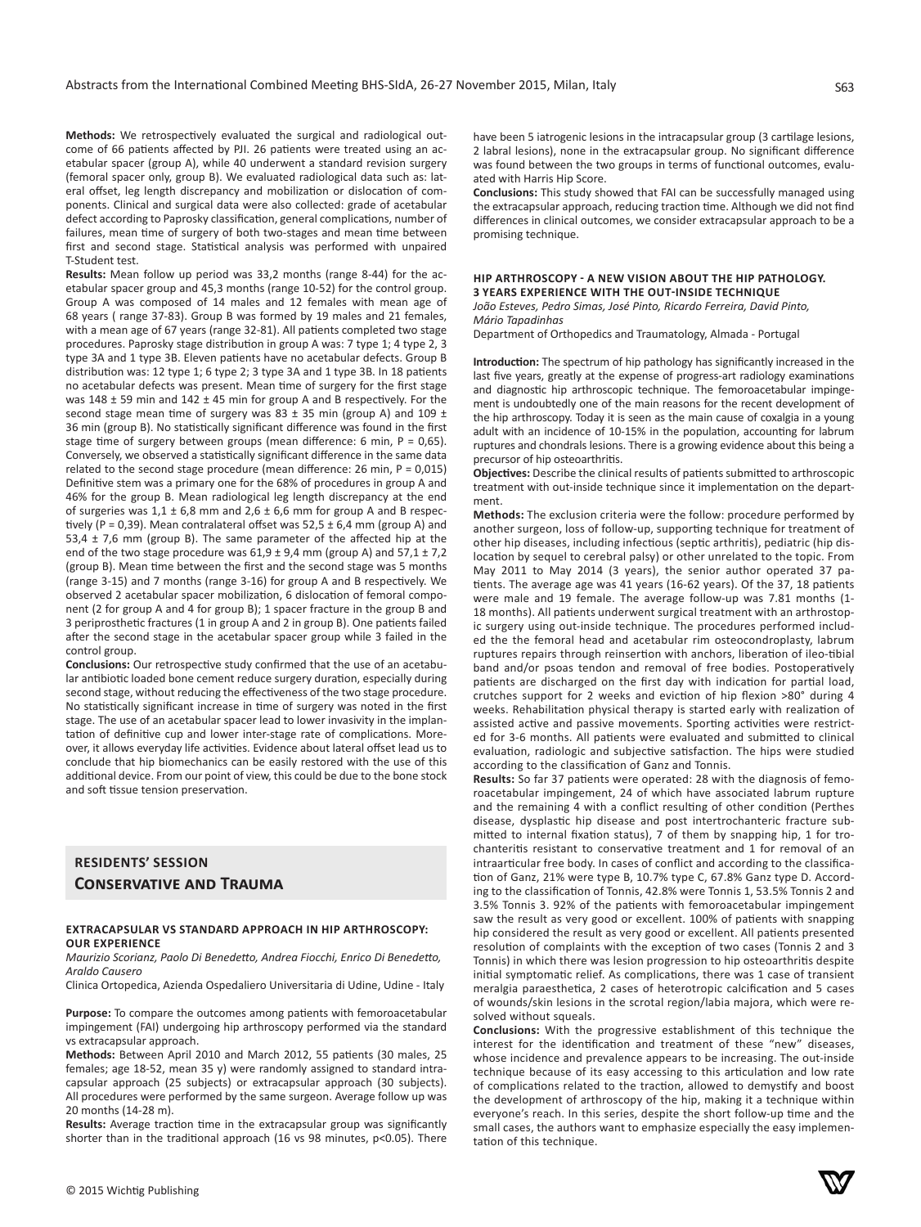**Methods:** We retrospectively evaluated the surgical and radiological outcome of 66 patients affected by PJI. 26 patients were treated using an acetabular spacer (group A), while 40 underwent a standard revision surgery (femoral spacer only, group B). We evaluated radiological data such as: lateral offset, leg length discrepancy and mobilization or dislocation of components. Clinical and surgical data were also collected: grade of acetabular defect according to Paprosky classification, general complications, number of failures, mean time of surgery of both two-stages and mean time between first and second stage. Statistical analysis was performed with unpaired T-Student test.

**Results:** Mean follow up period was 33,2 months (range 8-44) for the acetabular spacer group and 45,3 months (range 10-52) for the control group. Group A was composed of 14 males and 12 females with mean age of 68 years ( range 37-83). Group B was formed by 19 males and 21 females, with a mean age of 67 years (range 32-81). All patients completed two stage procedures. Paprosky stage distribution in group A was: 7 type 1; 4 type 2, 3 type 3A and 1 type 3B. Eleven patients have no acetabular defects. Group B distribution was: 12 type 1; 6 type 2; 3 type 3A and 1 type 3B. In 18 patients no acetabular defects was present. Mean time of surgery for the first stage was 148 ± 59 min and 142 ± 45 min for group A and B respectively. For the second stage mean time of surgery was 83 ± 35 min (group A) and 109 ± 36 min (group B). No statistically significant difference was found in the first stage time of surgery between groups (mean difference: 6 min, P = 0,65). Conversely, we observed a statistically significant difference in the same data related to the second stage procedure (mean difference: 26 min, P = 0,015) Definitive stem was a primary one for the 68% of procedures in group A and 46% for the group B. Mean radiological leg length discrepancy at the end of surgeries was  $1.1 \pm 6.8$  mm and  $2.6 \pm 6.6$  mm for group A and B respectively (P = 0,39). Mean contralateral offset was  $52.5 \pm 6.4$  mm (group A) and 53,4 ± 7,6 mm (group B). The same parameter of the affected hip at the end of the two stage procedure was  $61.9 \pm 9.4$  mm (group A) and  $57.1 \pm 7.2$ (group B). Mean time between the first and the second stage was 5 months (range 3-15) and 7 months (range 3-16) for group A and B respectively. We observed 2 acetabular spacer mobilization, 6 dislocation of femoral component (2 for group A and 4 for group B); 1 spacer fracture in the group B and 3 periprosthetic fractures (1 in group A and 2 in group B). One patients failed after the second stage in the acetabular spacer group while 3 failed in the control group.

**Conclusions:** Our retrospective study confirmed that the use of an acetabular antibiotic loaded bone cement reduce surgery duration, especially during second stage, without reducing the effectiveness of the two stage procedure. No statistically significant increase in time of surgery was noted in the first stage. The use of an acetabular spacer lead to lower invasivity in the implantation of definitive cup and lower inter-stage rate of complications. Moreover, it allows everyday life activities. Evidence about lateral offset lead us to conclude that hip biomechanics can be easily restored with the use of this additional device. From our point of view, this could be due to the bone stock and soft tissue tension preservation.

# **RESIDENTS' SESSION Conservative and Trauma**

## **EXTRACAPSULAR VS STANDARD APPROACH IN HIP ARTHROSCOPY: OUR EXPERIENCE**

*Maurizio Scorianz, Paolo Di Benedetto, Andrea Fiocchi, Enrico Di Benedetto, Araldo Causero* 

Clinica Ortopedica, Azienda Ospedaliero Universitaria di Udine, Udine - Italy

**Purpose:** To compare the outcomes among patients with femoroacetabular impingement (FAI) undergoing hip arthroscopy performed via the standard vs extracapsular approach.

**Methods:** Between April 2010 and March 2012, 55 patients (30 males, 25 females; age 18-52, mean 35 y) were randomly assigned to standard intracapsular approach (25 subjects) or extracapsular approach (30 subjects). All procedures were performed by the same surgeon. Average follow up was 20 months (14-28 m).

**Results:** Average traction time in the extracapsular group was significantly shorter than in the traditional approach (16 vs 98 minutes, p<0.05). There have been 5 iatrogenic lesions in the intracapsular group (3 cartilage lesions, 2 labral lesions), none in the extracapsular group. No significant difference was found between the two groups in terms of functional outcomes, evaluated with Harris Hip Score.

**Conclusions:** This study showed that FAI can be successfully managed using the extracapsular approach, reducing traction time. Although we did not find differences in clinical outcomes, we consider extracapsular approach to be a promising technique.

## **HIP ARTHROSCOPY - A NEW VISION ABOUT THE HIP PATHOLOGY. 3 YEARS EXPERIENCE WITH THE OUT-INSIDE TECHNIQUE**

*João Esteves, Pedro Simas, José Pinto, Ricardo Ferreira, David Pinto, Mário Tapadinhas*

Department of Orthopedics and Traumatology, Almada - Portugal

**Introduction:** The spectrum of hip pathology has significantly increased in the last five years, greatly at the expense of progress-art radiology examinations and diagnostic hip arthroscopic technique. The femoroacetabular impingement is undoubtedly one of the main reasons for the recent development of the hip arthroscopy. Today it is seen as the main cause of coxalgia in a young adult with an incidence of 10-15% in the population, accounting for labrum ruptures and chondrals lesions. There is a growing evidence about this being a precursor of hip osteoarthritis.

**Objectives:** Describe the clinical results of patients submitted to arthroscopic treatment with out-inside technique since it implementation on the department.

**Methods:** The exclusion criteria were the follow: procedure performed by another surgeon, loss of follow-up, supporting technique for treatment of other hip diseases, including infectious (septic arthritis), pediatric (hip dislocation by sequel to cerebral palsy) or other unrelated to the topic. From May 2011 to May 2014 (3 years), the senior author operated 37 patients. The average age was 41 years (16-62 years). Of the 37, 18 patients were male and 19 female. The average follow-up was 7.81 months (1- 18 months). All patients underwent surgical treatment with an arthrostopic surgery using out-inside technique. The procedures performed included the the femoral head and acetabular rim osteocondroplasty, labrum ruptures repairs through reinsertion with anchors, liberation of ileo-tibial band and/or psoas tendon and removal of free bodies. Postoperatively patients are discharged on the first day with indication for partial load, crutches support for 2 weeks and eviction of hip flexion >80° during 4 weeks. Rehabilitation physical therapy is started early with realization of assisted active and passive movements. Sporting activities were restricted for 3-6 months. All patients were evaluated and submitted to clinical evaluation, radiologic and subjective satisfaction. The hips were studied according to the classification of Ganz and Tonnis.

**Results:** So far 37 patients were operated: 28 with the diagnosis of femoroacetabular impingement, 24 of which have associated labrum rupture and the remaining 4 with a conflict resulting of other condition (Perthes disease, dysplastic hip disease and post intertrochanteric fracture submitted to internal fixation status), 7 of them by snapping hip, 1 for trochanteritis resistant to conservative treatment and 1 for removal of an intraarticular free body. In cases of conflict and according to the classification of Ganz, 21% were type B, 10.7% type C, 67.8% Ganz type D. According to the classification of Tonnis, 42.8% were Tonnis 1, 53.5% Tonnis 2 and 3.5% Tonnis 3. 92% of the patients with femoroacetabular impingement saw the result as very good or excellent. 100% of patients with snapping hip considered the result as very good or excellent. All patients presented resolution of complaints with the exception of two cases (Tonnis 2 and 3 Tonnis) in which there was lesion progression to hip osteoarthritis despite initial symptomatic relief. As complications, there was 1 case of transient meralgia paraesthetica, 2 cases of heterotropic calcification and 5 cases of wounds/skin lesions in the scrotal region/labia majora, which were resolved without squeals.

**Conclusions:** With the progressive establishment of this technique the interest for the identification and treatment of these "new" diseases, whose incidence and prevalence appears to be increasing. The out-inside technique because of its easy accessing to this articulation and low rate of complications related to the traction, allowed to demystify and boost the development of arthroscopy of the hip, making it a technique within everyone's reach. In this series, despite the short follow-up time and the small cases, the authors want to emphasize especially the easy implementation of this technique.

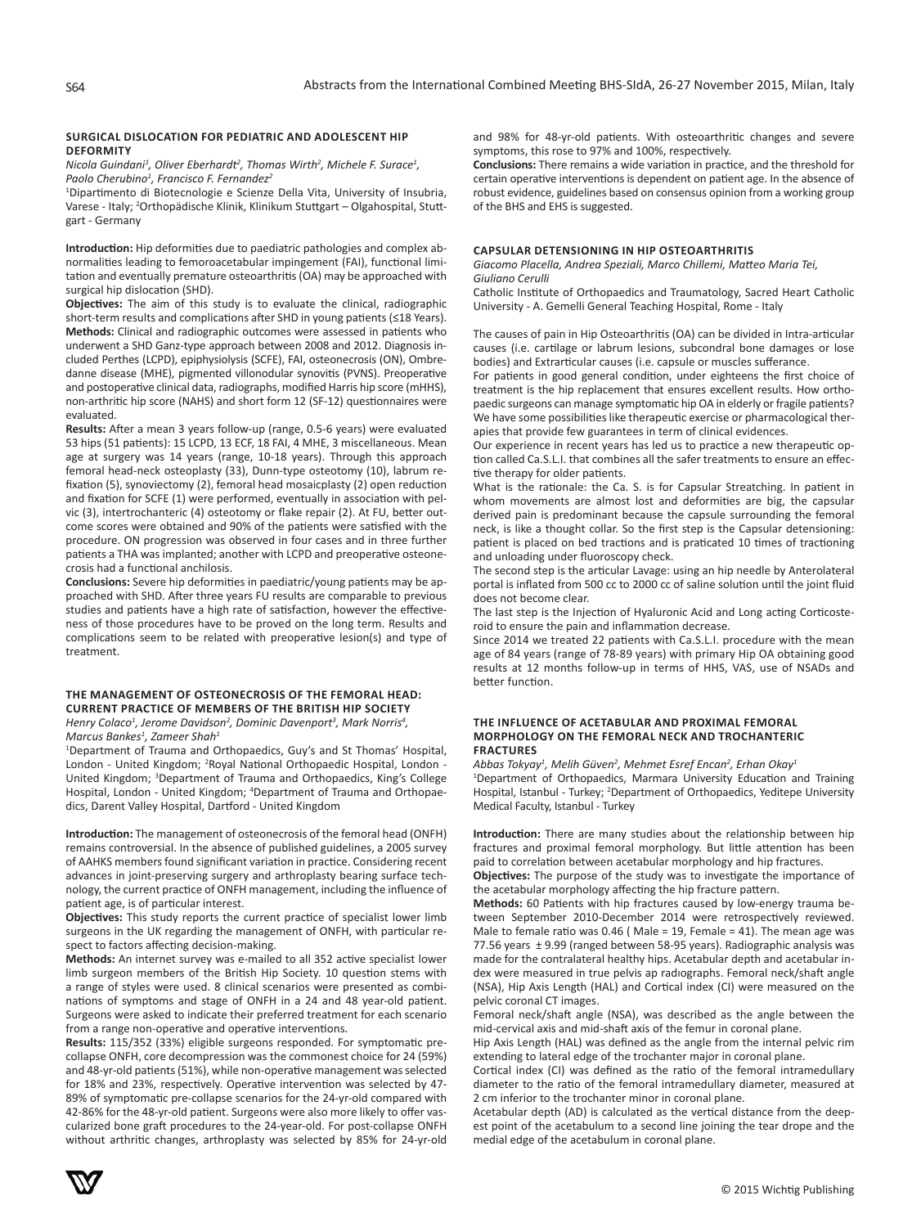#### **SURGICAL DISLOCATION FOR PEDIATRIC AND ADOLESCENT HIP DEFORMITY**

*Nicola Guindani<sup>1</sup>, Oliver Eberhardt<sup>2</sup>, Thomas Wirth<sup>2</sup>, Michele F. Surace<sup>1</sup>, Paolo Cherubino1 , Francisco F. Fernandez2* 

1 Dipartimento di Biotecnologie e Scienze Della Vita, University of Insubria, Varese - Italy; <sup>2</sup>Orthopädische Klinik, Klinikum Stuttgart – Olgahospital, Stuttgart - Germany

**Introduction:** Hip deformities due to paediatric pathologies and complex abnormalities leading to femoroacetabular impingement (FAI), functional limitation and eventually premature osteoarthritis (OA) may be approached with surgical hip dislocation (SHD).

**Objectives:** The aim of this study is to evaluate the clinical, radiographic short-term results and complications after SHD in young patients (≤18 Years). **Methods:** Clinical and radiographic outcomes were assessed in patients who underwent a SHD Ganz-type approach between 2008 and 2012. Diagnosis included Perthes (LCPD), epiphysiolysis (SCFE), FAI, osteonecrosis (ON), Ombredanne disease (MHE), pigmented villonodular synovitis (PVNS). Preoperative and postoperative clinical data, radiographs, modified Harris hip score (mHHS), non-arthritic hip score (NAHS) and short form 12 (SF-12) questionnaires were evaluated.

**Results:** After a mean 3 years follow-up (range, 0.5-6 years) were evaluated 53 hips (51 patients): 15 LCPD, 13 ECF, 18 FAI, 4 MHE, 3 miscellaneous. Mean age at surgery was 14 years (range, 10-18 years). Through this approach femoral head-neck osteoplasty (33), Dunn-type osteotomy (10), labrum refixation (5), synoviectomy (2), femoral head mosaicplasty (2) open reduction and fixation for SCFE (1) were performed, eventually in association with pelvic (3), intertrochanteric (4) osteotomy or flake repair (2). At FU, better outcome scores were obtained and 90% of the patients were satisfied with the procedure. ON progression was observed in four cases and in three further patients a THA was implanted; another with LCPD and preoperative osteonecrosis had a functional anchilosis.

**Conclusions:** Severe hip deformities in paediatric/young patients may be approached with SHD. After three years FU results are comparable to previous studies and patients have a high rate of satisfaction, however the effectiveness of those procedures have to be proved on the long term. Results and complications seem to be related with preoperative lesion(s) and type of treatment.

# **THE MANAGEMENT OF OSTEONECROSIS OF THE FEMORAL HEAD: CURRENT PRACTICE OF MEMBERS OF THE BRITISH HIP SOCIETY**

Henry Colaco<sup>1</sup>, Jerome Davidson<sup>2</sup>, Dominic Davenport<sup>3</sup>, Mark Norris<sup>4</sup>, *Marcus Bankes1 , Zameer Shah1* 

1 Department of Trauma and Orthopaedics, Guy's and St Thomas' Hospital, London - United Kingdom; <sup>2</sup>Royal National Orthopaedic Hospital, London -United Kingdom; <sup>3</sup>Department of Trauma and Orthopaedics, King's College Hospital, London - United Kingdom; <sup>4</sup>Department of Trauma and Orthopaedics, Darent Valley Hospital, Dartford - United Kingdom

**Introduction:** The management of osteonecrosis of the femoral head (ONFH) remains controversial. In the absence of published guidelines, a 2005 survey of AAHKS members found significant variation in practice. Considering recent advances in joint-preserving surgery and arthroplasty bearing surface technology, the current practice of ONFH management, including the influence of patient age, is of particular interest.

**Objectives:** This study reports the current practice of specialist lower limb surgeons in the UK regarding the management of ONFH, with particular respect to factors affecting decision-making.

**Methods:** An internet survey was e-mailed to all 352 active specialist lower limb surgeon members of the British Hip Society. 10 question stems with a range of styles were used. 8 clinical scenarios were presented as combinations of symptoms and stage of ONFH in a 24 and 48 year-old patient. Surgeons were asked to indicate their preferred treatment for each scenario from a range non-operative and operative interventions.

**Results:** 115/352 (33%) eligible surgeons responded. For symptomatic precollapse ONFH, core decompression was the commonest choice for 24 (59%) and 48-yr-old patients (51%), while non-operative management was selected for 18% and 23%, respectively. Operative intervention was selected by 47- 89% of symptomatic pre-collapse scenarios for the 24-yr-old compared with 42-86% for the 48-yr-old patient. Surgeons were also more likely to offer vascularized bone graft procedures to the 24-year-old. For post-collapse ONFH without arthritic changes, arthroplasty was selected by 85% for 24-yr-old and 98% for 48-yr-old patients. With osteoarthritic changes and severe symptoms, this rose to 97% and 100%, respectively.

**Conclusions:** There remains a wide variation in practice, and the threshold for certain operative interventions is dependent on patient age. In the absence of robust evidence, guidelines based on consensus opinion from a working group of the BHS and EHS is suggested.

## **CAPSULAR DETENSIONING IN HIP OSTEOARTHRITIS**

*Giacomo Placella, Andrea Speziali, Marco Chillemi, Matteo Maria Tei, Giuliano Cerulli*

Catholic Institute of Orthopaedics and Traumatology, Sacred Heart Catholic University - A. Gemelli General Teaching Hospital, Rome - Italy

The causes of pain in Hip Osteoarthritis (OA) can be divided in Intra-articular causes (i.e. cartilage or labrum lesions, subcondral bone damages or lose bodies) and Extrarticular causes (i.e. capsule or muscles sufferance.

For patients in good general condition, under eighteens the first choice of treatment is the hip replacement that ensures excellent results. How orthopaedic surgeons can manage symptomatic hip OA in elderly or fragile patients? We have some possibilities like therapeutic exercise or pharmacological therapies that provide few guarantees in term of clinical evidences.

Our experience in recent years has led us to practice a new therapeutic option called Ca.S.L.I. that combines all the safer treatments to ensure an effective therapy for older patients.

What is the rationale: the Ca. S. is for Capsular Streatching. In patient in whom movements are almost lost and deformities are big, the capsular derived pain is predominant because the capsule surrounding the femoral neck, is like a thought collar. So the first step is the Capsular detensioning: patient is placed on bed tractions and is praticated 10 times of tractioning and unloading under fluoroscopy check.

The second step is the articular Lavage: using an hip needle by Anterolateral portal is inflated from 500 cc to 2000 cc of saline solution until the joint fluid does not become clear.

The last step is the Injection of Hyaluronic Acid and Long acting Corticosteroid to ensure the pain and inflammation decrease.

Since 2014 we treated 22 patients with Ca.S.L.I. procedure with the mean age of 84 years (range of 78-89 years) with primary Hip OA obtaining good results at 12 months follow-up in terms of HHS, VAS, use of NSADs and better function.

#### **THE INFLUENCE OF ACETABULAR AND PROXIMAL FEMORAL MORPHOLOGY ON THE FEMORAL NECK AND TROCHANTERIC FRACTURES**

Abbas Tokyay<sup>1</sup>, Melih Güven<sup>2</sup>, Mehmet Esref Encan<sup>2</sup>, Erhan Okay<sup>1</sup>

1 Department of Orthopaedics, Marmara University Education and Training Hospital, Istanbul - Turkey; <sup>2</sup>Department of Orthopaedics, Yeditepe University Medical Faculty, Istanbul - Turkey

**Introduction:** There are many studies about the relationship between hip fractures and proximal femoral morphology. But little attention has been paid to correlation between acetabular morphology and hip fractures.

**Objectives:** The purpose of the study was to investigate the importance of the acetabular morphology affecting the hip fracture pattern.

**Methods:** 60 Patients with hip fractures caused by low-energy trauma between September 2010-December 2014 were retrospectively reviewed. Male to female ratio was 0.46 ( Male = 19, Female = 41). The mean age was 77.56 years ± 9.99 (ranged between 58-95 years). Radiographic analysis was made for the contralateral healthy hips. Acetabular depth and acetabular index were measured in true pelvis ap radıographs. Femoral neck/shaft angle (NSA), Hip Axis Length (HAL) and Cortical index (CI) were measured on the pelvic coronal CT images.

Femoral neck/shaft angle (NSA), was described as the angle between the mid-cervical axis and mid-shaft axis of the femur in coronal plane.

Hip Axis Length (HAL) was defined as the angle from the internal pelvic rim extending to lateral edge of the trochanter major in coronal plane.

Cortical index (CI) was defined as the ratio of the femoral intramedullary diameter to the ratio of the femoral intramedullary diameter, measured at 2 cm inferior to the trochanter minor in coronal plane.

Acetabular depth (AD) is calculated as the vertical distance from the deepest point of the acetabulum to a second line joining the tear drope and the medial edge of the acetabulum in coronal plane.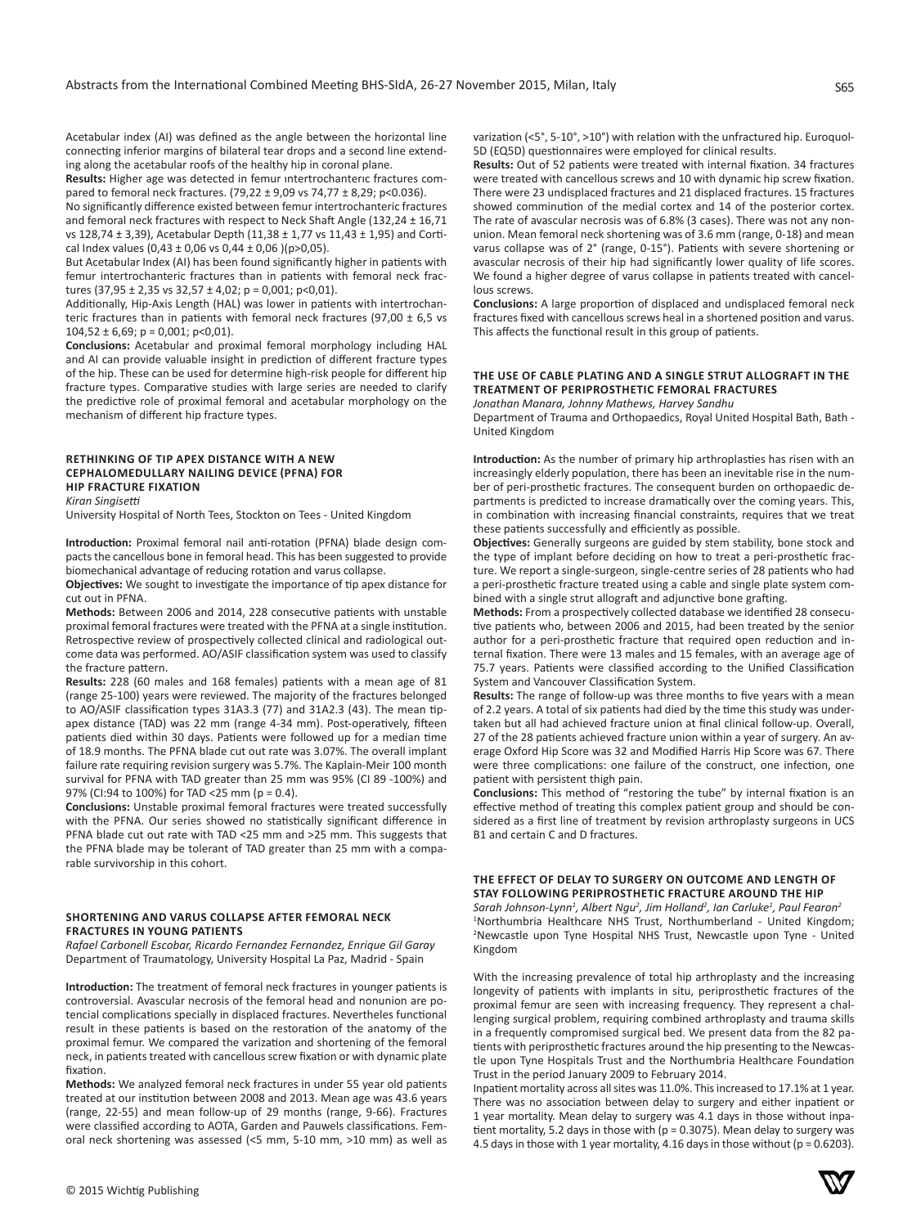Acetabular index (AI) was defined as the angle between the horizontal line connecting inferior margins of bilateral tear drops and a second line extending along the acetabular roofs of the healthy hip in coronal plane.

**Results:** Higher age was detected in femur ıntertrochanterıc fractures compared to femoral neck fractures. (79,22 ± 9,09 vs 74,77 ± 8,29; p<0.036). No significantly difference existed between femur intertrochanteric fractures and femoral neck fractures with respect to Neck Shaft Angle (132,24 ± 16,71

vs 128,74 ± 3,39), Acetabular Depth (11,38 ± 1,77 vs 11,43 ± 1,95) and Cortical Index values (0,43 ± 0,06 vs 0,44 ± 0,06 )(p>0,05).

But Acetabular Index (AI) has been found significantly higher in patients with femur intertrochanteric fractures than in patients with femoral neck fractures  $(37,95 \pm 2,35 \text{ vs } 32,57 \pm 4,02; \text{ p} = 0,001; \text{ p} < 0,01).$ 

Additionally, Hip-Axis Length (HAL) was lower in patients with intertrochanteric fractures than in patients with femoral neck fractures (97,00  $\pm$  6,5 vs  $104,52 \pm 6,69$ ;  $p = 0,001$ ;  $p < 0,01$ ).

**Conclusions:** Acetabular and proximal femoral morphology including HAL and AI can provide valuable insight in prediction of different fracture types of the hip. These can be used for determine high-risk people for different hip fracture types. Comparative studies with large series are needed to clarify the predictive role of proximal femoral and acetabular morphology on the mechanism of different hip fracture types.

## **RETHINKING OF TIP APEX DISTANCE WITH A NEW CEPHALOMEDULLARY NAILING DEVICE (PFNA) FOR HIP FRACTURE FIXATION**

*Kiran Singisetti*

University Hospital of North Tees, Stockton on Tees - United Kingdom

**Introduction:** Proximal femoral nail anti-rotation (PFNA) blade design compacts the cancellous bone in femoral head. This has been suggested to provide biomechanical advantage of reducing rotation and varus collapse.

**Objectives:** We sought to investigate the importance of tip apex distance for cut out in PFNA.

**Methods:** Between 2006 and 2014, 228 consecutive patients with unstable proximal femoral fractures were treated with the PFNA at a single institution. Retrospective review of prospectively collected clinical and radiological outcome data was performed. AO/ASIF classification system was used to classify the fracture pattern.

**Results:** 228 (60 males and 168 females) patients with a mean age of 81 (range 25-100) years were reviewed. The majority of the fractures belonged to AO/ASIF classification types 31A3.3 (77) and 31A2.3 (43). The mean tipapex distance (TAD) was 22 mm (range 4-34 mm). Post-operatively, fifteen patients died within 30 days. Patients were followed up for a median time of 18.9 months. The PFNA blade cut out rate was 3.07%. The overall implant failure rate requiring revision surgery was 5.7%. The Kaplain-Meir 100 month survival for PFNA with TAD greater than 25 mm was 95% (CI 89 -100%) and 97% (CI:94 to 100%) for TAD <25 mm (p = 0.4).

**Conclusions:** Unstable proximal femoral fractures were treated successfully with the PFNA. Our series showed no statistically significant difference in PFNA blade cut out rate with TAD <25 mm and >25 mm. This suggests that the PFNA blade may be tolerant of TAD greater than 25 mm with a comparable survivorship in this cohort.

## **SHORTENING AND VARUS COLLAPSE AFTER FEMORAL NECK FRACTURES IN YOUNG PATIENTS**

*Rafael Carbonell Escobar, Ricardo Fernandez Fernandez, Enrique Gil Garay* Department of Traumatology, University Hospital La Paz, Madrid - Spain

**Introduction:** The treatment of femoral neck fractures in younger patients is controversial. Avascular necrosis of the femoral head and nonunion are potencial complications specially in displaced fractures. Nevertheles functional result in these patients is based on the restoration of the anatomy of the proximal femur. We compared the varization and shortening of the femoral neck, in patients treated with cancellous screw fixation or with dynamic plate fixation.

**Methods:** We analyzed femoral neck fractures in under 55 year old patients treated at our institution between 2008 and 2013. Mean age was 43.6 years (range, 22-55) and mean follow-up of 29 months (range, 9-66). Fractures were classified according to AOTA, Garden and Pauwels classifications. Femoral neck shortening was assessed (<5 mm, 5-10 mm, >10 mm) as well as **Results:** Out of 52 patients were treated with internal fixation. 34 fractures were treated with cancellous screws and 10 with dynamic hip screw fixation. There were 23 undisplaced fractures and 21 displaced fractures. 15 fractures showed comminution of the medial cortex and 14 of the posterior cortex. The rate of avascular necrosis was of 6.8% (3 cases). There was not any nonunion. Mean femoral neck shortening was of 3.6 mm (range, 0-18) and mean varus collapse was of 2° (range, 0-15°). Patients with severe shortening or avascular necrosis of their hip had significantly lower quality of life scores. We found a higher degree of varus collapse in patients treated with cancellous screws.

**Conclusions:** A large proportion of displaced and undisplaced femoral neck fractures fixed with cancellous screws heal in a shortened position and varus. This affects the functional result in this group of patients.

## **THE USE OF CABLE PLATING AND A SINGLE STRUT ALLOGRAFT IN THE TREATMENT OF PERIPROSTHETIC FEMORAL FRACTURES**

*Jonathan Manara, Johnny Mathews, Harvey Sandhu*

Department of Trauma and Orthopaedics, Royal United Hospital Bath, Bath - United Kingdom

**Introduction:** As the number of primary hip arthroplasties has risen with an increasingly elderly population, there has been an inevitable rise in the number of peri-prosthetic fractures. The consequent burden on orthopaedic departments is predicted to increase dramatically over the coming years. This, in combination with increasing financial constraints, requires that we treat these patients successfully and efficiently as possible.

**Objectives:** Generally surgeons are guided by stem stability, bone stock and the type of implant before deciding on how to treat a peri-prosthetic fracture. We report a single-surgeon, single-centre series of 28 patients who had a peri-prosthetic fracture treated using a cable and single plate system combined with a single strut allograft and adjunctive bone grafting.

**Methods:** From a prospectively collected database we identified 28 consecutive patients who, between 2006 and 2015, had been treated by the senior author for a peri-prosthetic fracture that required open reduction and internal fixation. There were 13 males and 15 females, with an average age of 75.7 years. Patients were classified according to the Unified Classification System and Vancouver Classification System.

**Results:** The range of follow-up was three months to five years with a mean of 2.2 years. A total of six patients had died by the time this study was undertaken but all had achieved fracture union at final clinical follow-up. Overall, 27 of the 28 patients achieved fracture union within a year of surgery. An average Oxford Hip Score was 32 and Modified Harris Hip Score was 67. There were three complications: one failure of the construct, one infection, one patient with persistent thigh pain.

**Conclusions:** This method of "restoring the tube" by internal fixation is an effective method of treating this complex patient group and should be considered as a first line of treatment by revision arthroplasty surgeons in UCS B1 and certain C and D fractures.

## **THE EFFECT OF DELAY TO SURGERY ON OUTCOME AND LENGTH OF STAY FOLLOWING PERIPROSTHETIC FRACTURE AROUND THE HIP**

Sarah Johnson-Lynn<sup>1</sup>, Albert Ngu<sup>2</sup>, Jim Holland<sup>2</sup>, Ian Carluke<sup>1</sup>, Paul Fearon<sup>2</sup> 1 Northumbria Healthcare NHS Trust, Northumberland - United Kingdom; 2 Newcastle upon Tyne Hospital NHS Trust, Newcastle upon Tyne - United Kingdom

With the increasing prevalence of total hip arthroplasty and the increasing longevity of patients with implants in situ, periprosthetic fractures of the proximal femur are seen with increasing frequency. They represent a challenging surgical problem, requiring combined arthroplasty and trauma skills in a frequently compromised surgical bed. We present data from the 82 patients with periprosthetic fractures around the hip presenting to the Newcastle upon Tyne Hospitals Trust and the Northumbria Healthcare Foundation Trust in the period January 2009 to February 2014.

Inpatient mortality across all sites was 11.0%. This increased to 17.1% at 1 year. There was no association between delay to surgery and either inpatient or 1 year mortality. Mean delay to surgery was 4.1 days in those without inpatient mortality, 5.2 days in those with ( $p = 0.3075$ ). Mean delay to surgery was 4.5 days in those with 1 year mortality, 4.16 days in those without ( $p = 0.6203$ ).

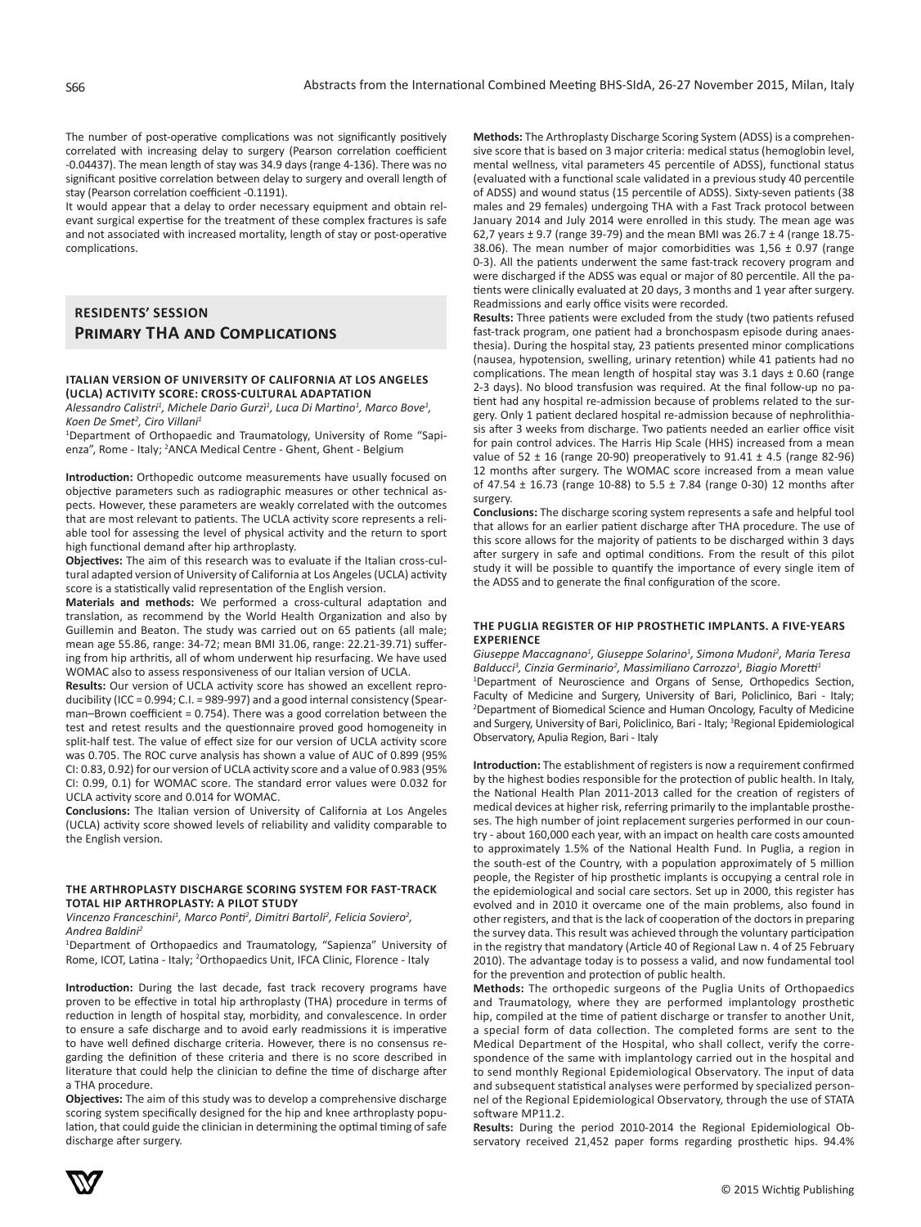The number of post-operative complications was not significantly positively correlated with increasing delay to surgery (Pearson correlation coefficient -0.04437). The mean length of stay was 34.9 days (range 4-136). There was no significant positive correlation between delay to surgery and overall length of stay (Pearson correlation coefficient -0.1191).

It would appear that a delay to order necessary equipment and obtain relevant surgical expertise for the treatment of these complex fractures is safe and not associated with increased mortality, length of stay or post-operative complications.

# **RESIDENTS' SESSION Primary THA and Complications**

## **ITALIAN VERSION OF UNIVERSITY OF CALIFORNIA AT LOS ANGELES (UCLA) ACTIVITY SCORE: CROSS-CULTURAL ADAPTATION**

*Alessandro Calistri1 , Michele Dario Gurzì1 , Luca Di Martino<sup>1</sup> , Marco Bove1 , Koen De Smet2 , Ciro Villani<sup>1</sup>*

1 Department of Orthopaedic and Traumatology, University of Rome "Sapienza", Rome - Italy; <sup>2</sup>ANCA Medical Centre - Ghent, Ghent - Belgium

**Introduction:** Orthopedic outcome measurements have usually focused on objective parameters such as radiographic measures or other technical aspects. However, these parameters are weakly correlated with the outcomes that are most relevant to patients. The UCLA activity score represents a reliable tool for assessing the level of physical activity and the return to sport high functional demand after hip arthroplasty.

**Objectives:** The aim of this research was to evaluate if the Italian cross-cultural adapted version of University of California at Los Angeles (UCLA) activity score is a statistically valid representation of the English version.

**Materials and methods:** We performed a cross-cultural adaptation and translation, as recommend by the World Health Organization and also by Guillemin and Beaton. The study was carried out on 65 patients (all male; mean age 55.86, range: 34-72; mean BMI 31.06, range: 22.21-39.71) suffering from hip arthritis, all of whom underwent hip resurfacing. We have used WOMAC also to assess responsiveness of our Italian version of UCLA.

**Results:** Our version of UCLA activity score has showed an excellent reproducibility (ICC = 0.994; C.I. = 989-997) and a good internal consistency (Spearman–Brown coefficient = 0.754). There was a good correlation between the test and retest results and the questionnaire proved good homogeneity in split-half test. The value of effect size for our version of UCLA activity score was 0.705. The ROC curve analysis has shown a value of AUC of 0.899 (95% CI: 0.83, 0.92) for our version of UCLA activity score and a value of 0.983 (95% CI: 0.99, 0.1) for WOMAC score. The standard error values were 0.032 for UCLA activity score and 0.014 for WOMAC.

**Conclusions:** The Italian version of University of California at Los Angeles (UCLA) activity score showed levels of reliability and validity comparable to the English version.

#### **THE ARTHROPLASTY DISCHARGE SCORING SYSTEM FOR FAST-TRACK TOTAL HIP ARTHROPLASTY: A PILOT STUDY**

Vincenzo Franceschini<sup>1</sup>, Marco Ponti<sup>2</sup>, Dimitri Bartoli<sup>2</sup>, Felicia Soviero<sup>2</sup>, *Andrea Baldini2* 

<sup>1</sup>Department of Orthopaedics and Traumatology, "Sapienza" University of Rome, ICOT, Latina - Italy; <sup>2</sup>Orthopaedics Unit, IFCA Clinic, Florence - Italy

**Introduction:** During the last decade, fast track recovery programs have proven to be effective in total hip arthroplasty (THA) procedure in terms of reduction in length of hospital stay, morbidity, and convalescence. In order to ensure a safe discharge and to avoid early readmissions it is imperative to have well defined discharge criteria. However, there is no consensus regarding the definition of these criteria and there is no score described in literature that could help the clinician to define the time of discharge after a THA procedure.

**Objectives:** The aim of this study was to develop a comprehensive discharge scoring system specifically designed for the hip and knee arthroplasty population, that could guide the clinician in determining the optimal timing of safe discharge after surgery.

**Methods:** The Arthroplasty Discharge Scoring System (ADSS) is a comprehensive score that is based on 3 major criteria: medical status (hemoglobin level, mental wellness, vital parameters 45 percentile of ADSS), functional status (evaluated with a functional scale validated in a previous study 40 percentile of ADSS) and wound status (15 percentile of ADSS). Sixty-seven patients (38 males and 29 females) undergoing THA with a Fast Track protocol between January 2014 and July 2014 were enrolled in this study. The mean age was 62,7 years  $\pm$  9.7 (range 39-79) and the mean BMI was 26.7  $\pm$  4 (range 18.75-38.06). The mean number of major comorbidities was  $1,56 \pm 0.97$  (range 0-3). All the patients underwent the same fast-track recovery program and were discharged if the ADSS was equal or major of 80 percentile. All the patients were clinically evaluated at 20 days, 3 months and 1 year after surgery. Readmissions and early office visits were recorded.

**Results:** Three patients were excluded from the study (two patients refused fast-track program, one patient had a bronchospasm episode during anaesthesia). During the hospital stay, 23 patients presented minor complications (nausea, hypotension, swelling, urinary retention) while 41 patients had no complications. The mean length of hospital stay was  $3.1$  days  $\pm$  0.60 (range 2-3 days). No blood transfusion was required. At the final follow-up no patient had any hospital re-admission because of problems related to the surgery. Only 1 patient declared hospital re-admission because of nephrolithiasis after 3 weeks from discharge. Two patients needed an earlier office visit for pain control advices. The Harris Hip Scale (HHS) increased from a mean value of  $52 \pm 16$  (range 20-90) preoperatively to  $91.41 \pm 4.5$  (range 82-96) 12 months after surgery. The WOMAC score increased from a mean value of 47.54 ± 16.73 (range 10-88) to 5.5 ± 7.84 (range 0-30) 12 months after surgery.

**Conclusions:** The discharge scoring system represents a safe and helpful tool that allows for an earlier patient discharge after THA procedure. The use of this score allows for the majority of patients to be discharged within 3 days after surgery in safe and optimal conditions. From the result of this pilot study it will be possible to quantify the importance of every single item of the ADSS and to generate the final configuration of the score.

## **THE PUGLIA REGISTER OF HIP PROSTHETIC IMPLANTS. A FIVE-YEARS EXPERIENCE**

Giuseppe Maccagnano<sup>1</sup>, Giuseppe Solarino<sup>1</sup>, Simona Mudoni<sup>2</sup>, Maria Teresa Balducci<sup>3</sup>, Cinzia Germinario<sup>2</sup>, Massimiliano Carrozzo<sup>1</sup>, Biagio Moretti<sup>1</sup> 1 Department of Neuroscience and Organs of Sense, Orthopedics Section, Faculty of Medicine and Surgery, University of Bari, Policlinico, Bari - Italy; 2 Department of Biomedical Science and Human Oncology, Faculty of Medicine and Surgery, University of Bari, Policlinico, Bari - Italy; <sup>3</sup>Regional Epidemiological Observatory, Apulia Region, Bari - Italy

**Introduction:** The establishment of registers is now a requirement confirmed by the highest bodies responsible for the protection of public health. In Italy, the National Health Plan 2011-2013 called for the creation of registers of medical devices at higher risk, referring primarily to the implantable prostheses. The high number of joint replacement surgeries performed in our country - about 160,000 each year, with an impact on health care costs amounted to approximately 1.5% of the National Health Fund. In Puglia, a region in the south-est of the Country, with a population approximately of 5 million people, the Register of hip prosthetic implants is occupying a central role in the epidemiological and social care sectors. Set up in 2000, this register has evolved and in 2010 it overcame one of the main problems, also found in other registers, and that is the lack of cooperation of the doctors in preparing the survey data. This result was achieved through the voluntary participation in the registry that mandatory (Article 40 of Regional Law n. 4 of 25 February 2010). The advantage today is to possess a valid, and now fundamental tool for the prevention and protection of public health.

**Methods:** The orthopedic surgeons of the Puglia Units of Orthopaedics and Traumatology, where they are performed implantology prosthetic hip, compiled at the time of patient discharge or transfer to another Unit, a special form of data collection. The completed forms are sent to the Medical Department of the Hospital, who shall collect, verify the correspondence of the same with implantology carried out in the hospital and to send monthly Regional Epidemiological Observatory. The input of data and subsequent statistical analyses were performed by specialized personnel of the Regional Epidemiological Observatory, through the use of STATA software MP11.2.

**Results:** During the period 2010-2014 the Regional Epidemiological Observatory received 21,452 paper forms regarding prosthetic hips. 94.4%

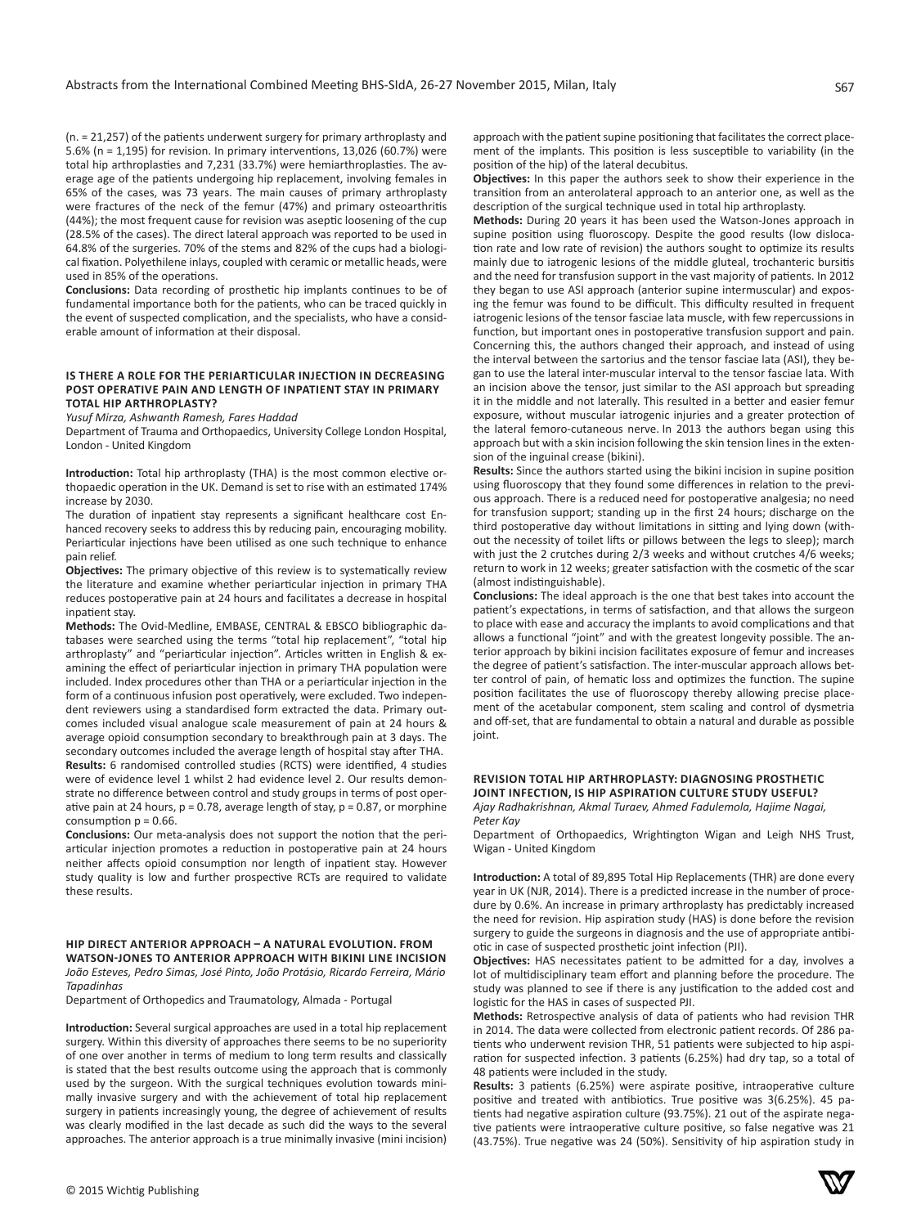(n. = 21,257) of the patients underwent surgery for primary arthroplasty and 5.6% (n = 1,195) for revision. In primary interventions, 13,026 (60.7%) were total hip arthroplasties and 7,231 (33.7%) were hemiarthroplasties. The average age of the patients undergoing hip replacement, involving females in 65% of the cases, was 73 years. The main causes of primary arthroplasty were fractures of the neck of the femur (47%) and primary osteoarthritis (44%); the most frequent cause for revision was aseptic loosening of the cup (28.5% of the cases). The direct lateral approach was reported to be used in 64.8% of the surgeries. 70% of the stems and 82% of the cups had a biological fixation. Polyethilene inlays, coupled with ceramic or metallic heads, were used in 85% of the operations.

**Conclusions:** Data recording of prosthetic hip implants continues to be of fundamental importance both for the patients, who can be traced quickly in the event of suspected complication, and the specialists, who have a considerable amount of information at their disposal.

#### **IS THERE A ROLE FOR THE PERIARTICULAR INJECTION IN DECREASING POST OPERATIVE PAIN AND LENGTH OF INPATIENT STAY IN PRIMARY TOTAL HIP ARTHROPLASTY?**

*Yusuf Mirza, Ashwanth Ramesh, Fares Haddad*

Department of Trauma and Orthopaedics, University College London Hospital, London - United Kingdom

**Introduction:** Total hip arthroplasty (THA) is the most common elective orthopaedic operation in the UK. Demand is set to rise with an estimated 174% increase by 2030.

The duration of inpatient stay represents a significant healthcare cost Enhanced recovery seeks to address this by reducing pain, encouraging mobility. Periarticular injections have been utilised as one such technique to enhance pain relief.

**Objectives:** The primary objective of this review is to systematically review the literature and examine whether periarticular injection in primary THA reduces postoperative pain at 24 hours and facilitates a decrease in hospital inpatient stay.

**Methods:** The Ovid-Medline, EMBASE, CENTRAL & EBSCO bibliographic databases were searched using the terms "total hip replacement", "total hip arthroplasty" and "periarticular injection". Articles written in English & examining the effect of periarticular injection in primary THA population were included. Index procedures other than THA or a periarticular injection in the form of a continuous infusion post operatively, were excluded. Two independent reviewers using a standardised form extracted the data. Primary outcomes included visual analogue scale measurement of pain at 24 hours & average opioid consumption secondary to breakthrough pain at 3 days. The secondary outcomes included the average length of hospital stay after THA. **Results:** 6 randomised controlled studies (RCTS) were identified, 4 studies were of evidence level 1 whilst 2 had evidence level 2. Our results demonstrate no difference between control and study groups in terms of post operative pain at 24 hours,  $p = 0.78$ , average length of stay,  $p = 0.87$ , or morphine consumption  $p = 0.66$ .

**Conclusions:** Our meta-analysis does not support the notion that the periarticular injection promotes a reduction in postoperative pain at 24 hours neither affects opioid consumption nor length of inpatient stay. However study quality is low and further prospective RCTs are required to validate these results.

**HIP DIRECT ANTERIOR APPROACH – A NATURAL EVOLUTION. FROM WATSON-JONES TO ANTERIOR APPROACH WITH BIKINI LINE INCISION** *João Esteves, Pedro Simas, José Pinto, João Protásio, Ricardo Ferreira, Mário Tapadinhas*

Department of Orthopedics and Traumatology, Almada - Portugal

**Introduction:** Several surgical approaches are used in a total hip replacement surgery. Within this diversity of approaches there seems to be no superiority of one over another in terms of medium to long term results and classically is stated that the best results outcome using the approach that is commonly used by the surgeon. With the surgical techniques evolution towards minimally invasive surgery and with the achievement of total hip replacement surgery in patients increasingly young, the degree of achievement of results was clearly modified in the last decade as such did the ways to the several approaches. The anterior approach is a true minimally invasive (mini incision)

approach with the patient supine positioning that facilitates the correct placement of the implants. This position is less susceptible to variability (in the position of the hip) of the lateral decubitus.

**Objectives:** In this paper the authors seek to show their experience in the transition from an anterolateral approach to an anterior one, as well as the description of the surgical technique used in total hip arthroplasty.

**Methods:** During 20 years it has been used the Watson-Jones approach in supine position using fluoroscopy. Despite the good results (low dislocation rate and low rate of revision) the authors sought to optimize its results mainly due to iatrogenic lesions of the middle gluteal, trochanteric bursitis and the need for transfusion support in the vast majority of patients. In 2012 they began to use ASI approach (anterior supine intermuscular) and exposing the femur was found to be difficult. This difficulty resulted in frequent iatrogenic lesions of the tensor fasciae lata muscle, with few repercussions in function, but important ones in postoperative transfusion support and pain. Concerning this, the authors changed their approach, and instead of using the interval between the sartorius and the tensor fasciae lata (ASI), they began to use the lateral inter-muscular interval to the tensor fasciae lata. With an incision above the tensor, just similar to the ASI approach but spreading it in the middle and not laterally. This resulted in a better and easier femur exposure, without muscular iatrogenic injuries and a greater protection of the lateral femoro-cutaneous nerve. In 2013 the authors began using this approach but with a skin incision following the skin tension lines in the extension of the inguinal crease (bikini).

**Results:** Since the authors started using the bikini incision in supine position using fluoroscopy that they found some differences in relation to the previous approach. There is a reduced need for postoperative analgesia; no need for transfusion support; standing up in the first 24 hours; discharge on the third postoperative day without limitations in sitting and lying down (without the necessity of toilet lifts or pillows between the legs to sleep); march with just the 2 crutches during 2/3 weeks and without crutches 4/6 weeks; return to work in 12 weeks; greater satisfaction with the cosmetic of the scar (almost indistinguishable).

**Conclusions:** The ideal approach is the one that best takes into account the patient's expectations, in terms of satisfaction, and that allows the surgeon to place with ease and accuracy the implants to avoid complications and that allows a functional "joint" and with the greatest longevity possible. The anterior approach by bikini incision facilitates exposure of femur and increases the degree of patient's satisfaction. The inter-muscular approach allows better control of pain, of hematic loss and optimizes the function. The supine position facilitates the use of fluoroscopy thereby allowing precise placement of the acetabular component, stem scaling and control of dysmetria and off-set, that are fundamental to obtain a natural and durable as possible ioint.

## **REVISION TOTAL HIP ARTHROPLASTY: DIAGNOSING PROSTHETIC JOINT INFECTION, IS HIP ASPIRATION CULTURE STUDY USEFUL?** *Ajay Radhakrishnan, Akmal Turaev, Ahmed Fadulemola, Hajime Nagai,*

*Peter Kay* Department of Orthopaedics, Wrightington Wigan and Leigh NHS Trust,

Wigan - United Kingdom

**Introduction:** A total of 89,895 Total Hip Replacements (THR) are done every year in UK (NJR, 2014). There is a predicted increase in the number of procedure by 0.6%. An increase in primary arthroplasty has predictably increased the need for revision. Hip aspiration study (HAS) is done before the revision surgery to guide the surgeons in diagnosis and the use of appropriate antibiotic in case of suspected prosthetic joint infection (PJI).

**Objectives:** HAS necessitates patient to be admitted for a day, involves a lot of multidisciplinary team effort and planning before the procedure. The study was planned to see if there is any justification to the added cost and logistic for the HAS in cases of suspected PJI.

**Methods:** Retrospective analysis of data of patients who had revision THR in 2014. The data were collected from electronic patient records. Of 286 patients who underwent revision THR, 51 patients were subjected to hip aspiration for suspected infection. 3 patients (6.25%) had dry tap, so a total of 48 patients were included in the study.

**Results:** 3 patients (6.25%) were aspirate positive, intraoperative culture positive and treated with antibiotics. True positive was 3(6.25%). 45 patients had negative aspiration culture (93.75%). 21 out of the aspirate negative patients were intraoperative culture positive, so false negative was 21 (43.75%). True negative was 24 (50%). Sensitivity of hip aspiration study in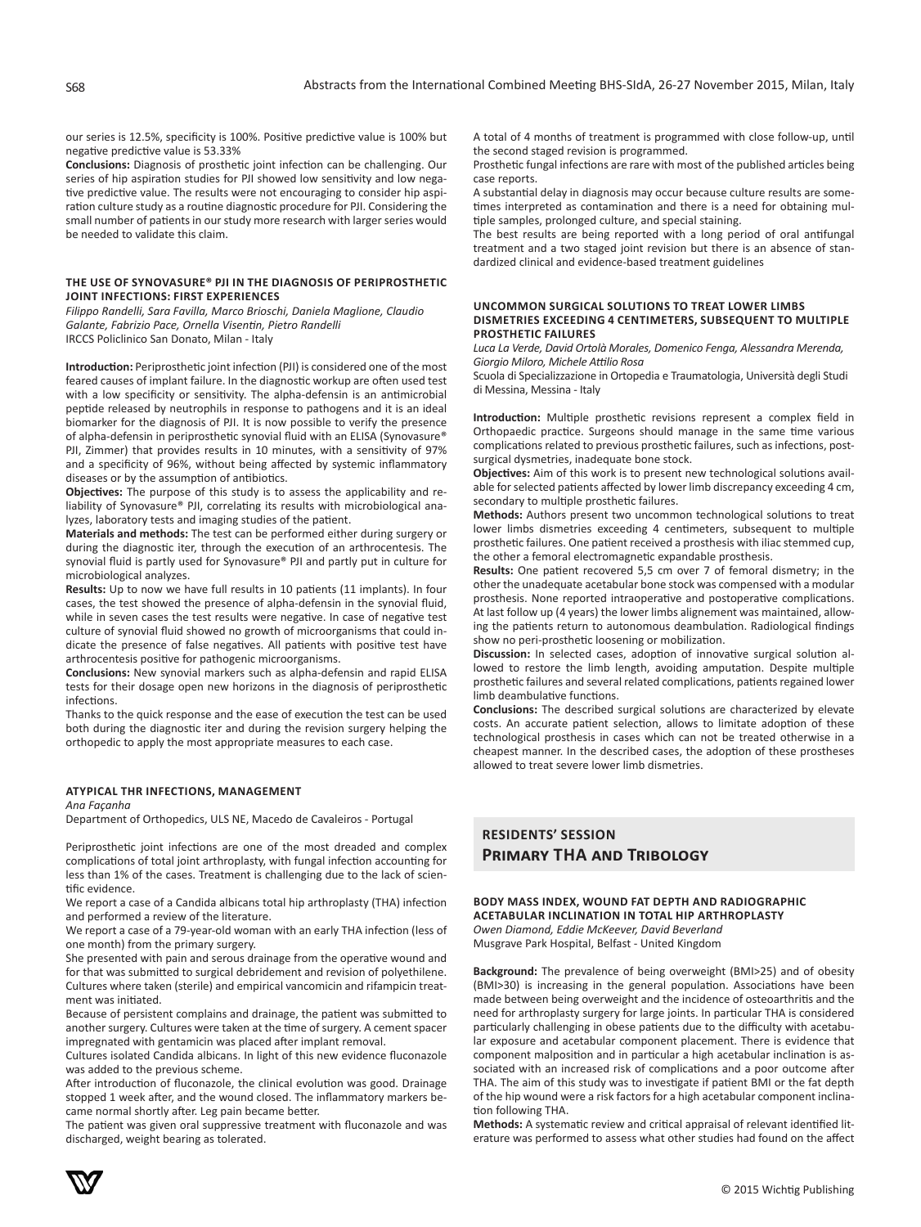our series is 12.5%, specificity is 100%. Positive predictive value is 100% but negative predictive value is 53.33%

**Conclusions:** Diagnosis of prosthetic joint infection can be challenging. Our series of hip aspiration studies for PJI showed low sensitivity and low negative predictive value. The results were not encouraging to consider hip aspiration culture study as a routine diagnostic procedure for PJI. Considering the small number of patients in our study more research with larger series would be needed to validate this claim.

## **THE USE OF SYNOVASURE® PJI IN THE DIAGNOSIS OF PERIPROSTHETIC JOINT INFECTIONS: FIRST EXPERIENCES**

*Filippo Randelli, Sara Favilla, Marco Brioschi, Daniela Maglione, Claudio Galante, Fabrizio Pace, Ornella Visentin, Pietro Randelli* IRCCS Policlinico San Donato, Milan - Italy

**Introduction:** Periprosthetic joint infection (PJI) is considered one of the most feared causes of implant failure. In the diagnostic workup are often used test with a low specificity or sensitivity. The alpha-defensin is an antimicrobial peptide released by neutrophils in response to pathogens and it is an ideal biomarker for the diagnosis of PJI. It is now possible to verify the presence of alpha-defensin in periprosthetic synovial fluid with an ELISA (Synovasure® PJI, Zimmer) that provides results in 10 minutes, with a sensitivity of 97% and a specificity of 96%, without being affected by systemic inflammatory diseases or by the assumption of antibiotics.

**Objectives:** The purpose of this study is to assess the applicability and reliability of Synovasure® PJI, correlating its results with microbiological analyzes, laboratory tests and imaging studies of the patient.

**Materials and methods:** The test can be performed either during surgery or during the diagnostic iter, through the execution of an arthrocentesis. The synovial fluid is partly used for Synovasure® PJI and partly put in culture for microbiological analyzes.

**Results:** Up to now we have full results in 10 patients (11 implants). In four cases, the test showed the presence of alpha-defensin in the synovial fluid, while in seven cases the test results were negative. In case of negative test culture of synovial fluid showed no growth of microorganisms that could indicate the presence of false negatives. All patients with positive test have arthrocentesis positive for pathogenic microorganisms.

**Conclusions:** New synovial markers such as alpha-defensin and rapid ELISA tests for their dosage open new horizons in the diagnosis of periprosthetic infections.

Thanks to the quick response and the ease of execution the test can be used both during the diagnostic iter and during the revision surgery helping the orthopedic to apply the most appropriate measures to each case.

## **ATYPICAL THR INFECTIONS, MANAGEMENT**

#### *Ana Façanha*

Department of Orthopedics, ULS NE, Macedo de Cavaleiros - Portugal

Periprosthetic joint infections are one of the most dreaded and complex complications of total joint arthroplasty, with fungal infection accounting for less than 1% of the cases. Treatment is challenging due to the lack of scientific evidence.

We report a case of a Candida albicans total hip arthroplasty (THA) infection and performed a review of the literature.

We report a case of a 79-year-old woman with an early THA infection (less of one month) from the primary surgery.

She presented with pain and serous drainage from the operative wound and for that was submitted to surgical debridement and revision of polyethilene. Cultures where taken (sterile) and empirical vancomicin and rifampicin treatment was initiated.

Because of persistent complains and drainage, the patient was submitted to another surgery. Cultures were taken at the time of surgery. A cement spacer impregnated with gentamicin was placed after implant removal.

Cultures isolated Candida albicans. In light of this new evidence fluconazole was added to the previous scheme.

After introduction of fluconazole, the clinical evolution was good. Drainage stopped 1 week after, and the wound closed. The inflammatory markers became normal shortly after. Leg pain became better.

The patient was given oral suppressive treatment with fluconazole and was discharged, weight bearing as tolerated.

A total of 4 months of treatment is programmed with close follow-up, until the second staged revision is programmed.

Prosthetic fungal infections are rare with most of the published articles being case reports.

A substantial delay in diagnosis may occur because culture results are sometimes interpreted as contamination and there is a need for obtaining multiple samples, prolonged culture, and special staining.

The best results are being reported with a long period of oral antifungal treatment and a two staged joint revision but there is an absence of standardized clinical and evidence-based treatment guidelines

#### **UNCOMMON SURGICAL SOLUTIONS TO TREAT LOWER LIMBS DISMETRIES EXCEEDING 4 CENTIMETERS, SUBSEQUENT TO MULTIPLE PROSTHETIC FAILURES**

*Luca La Verde, David Ortolà Morales, Domenico Fenga, Alessandra Merenda, Giorgio Miloro, Michele Attilio Rosa*

Scuola di Specializzazione in Ortopedia e Traumatologia, Università degli Studi di Messina, Messina - Italy

**Introduction:** Multiple prosthetic revisions represent a complex field in Orthopaedic practice. Surgeons should manage in the same time various complications related to previous prosthetic failures, such as infections, postsurgical dysmetries, inadequate bone stock.

**Objectives:** Aim of this work is to present new technological solutions available for selected patients affected by lower limb discrepancy exceeding 4 cm, secondary to multiple prosthetic failures.

**Methods:** Authors present two uncommon technological solutions to treat lower limbs dismetries exceeding 4 centimeters, subsequent to multiple prosthetic failures. One patient received a prosthesis with iliac stemmed cup, the other a femoral electromagnetic expandable prosthesis.

**Results:** One patient recovered 5,5 cm over 7 of femoral dismetry; in the other the unadequate acetabular bone stock was compensed with a modular prosthesis. None reported intraoperative and postoperative complications. At last follow up (4 years) the lower limbs alignement was maintained, allowing the patients return to autonomous deambulation. Radiological findings show no peri-prosthetic loosening or mobilization.

**Discussion:** In selected cases, adoption of innovative surgical solution allowed to restore the limb length, avoiding amputation. Despite multiple prosthetic failures and several related complications, patients regained lower limb deambulative functions.

**Conclusions:** The described surgical solutions are characterized by elevate costs. An accurate patient selection, allows to limitate adoption of these technological prosthesis in cases which can not be treated otherwise in a cheapest manner. In the described cases, the adoption of these prostheses allowed to treat severe lower limb dismetries.

# **RESIDENTS' SESSION Primary THA and Tribology**

**BODY MASS INDEX, WOUND FAT DEPTH AND RADIOGRAPHIC ACETABULAR INCLINATION IN TOTAL HIP ARTHROPLASTY** *Owen Diamond, Eddie McKeever, David Beverland* Musgrave Park Hospital, Belfast - United Kingdom

**Background:** The prevalence of being overweight (BMI>25) and of obesity (BMI>30) is increasing in the general population. Associations have been made between being overweight and the incidence of osteoarthritis and the need for arthroplasty surgery for large joints. In particular THA is considered particularly challenging in obese patients due to the difficulty with acetabular exposure and acetabular component placement. There is evidence that component malposition and in particular a high acetabular inclination is associated with an increased risk of complications and a poor outcome after THA. The aim of this study was to investigate if patient BMI or the fat depth of the hip wound were a risk factors for a high acetabular component inclination following THA.

**Methods:** A systematic review and critical appraisal of relevant identified literature was performed to assess what other studies had found on the affect

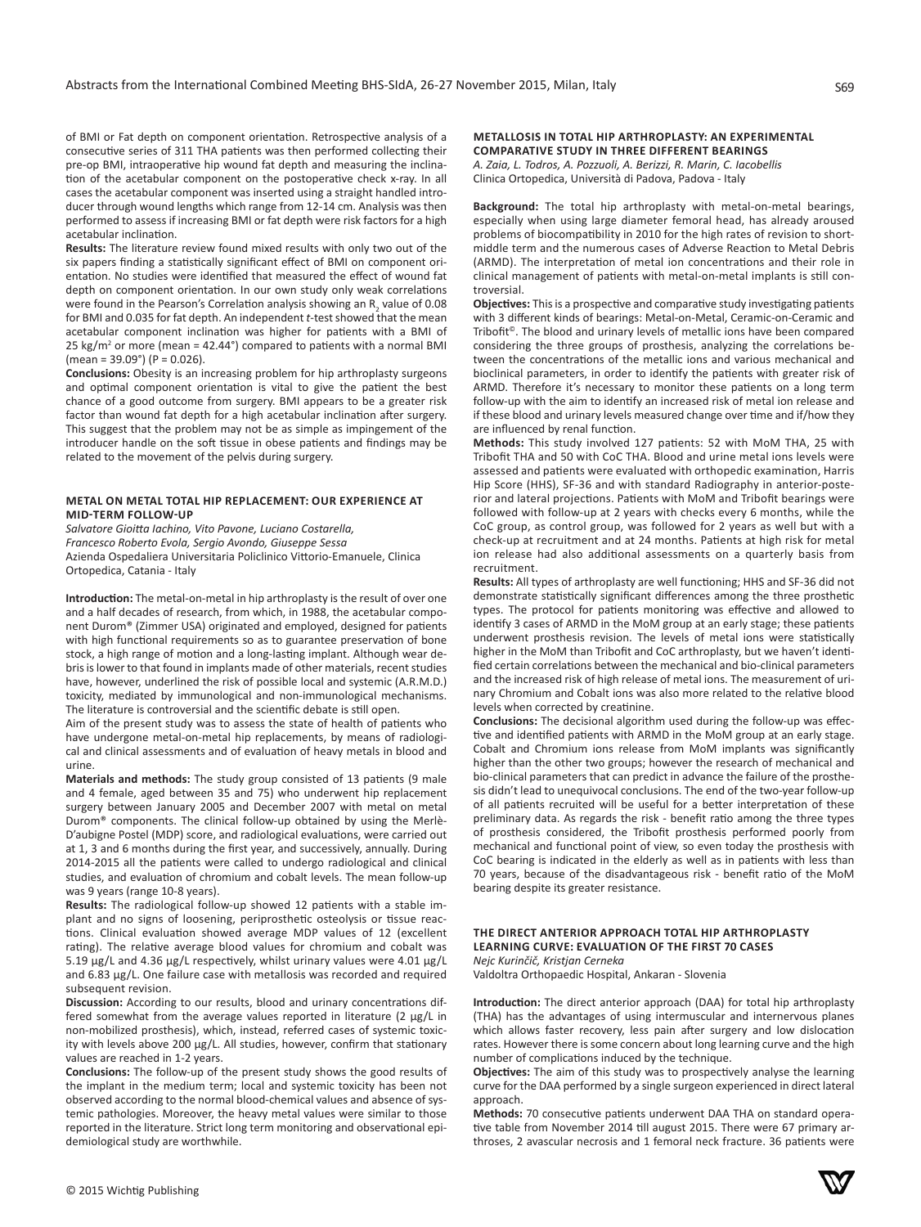of BMI or Fat depth on component orientation. Retrospective analysis of a consecutive series of 311 THA patients was then performed collecting their pre-op BMI, intraoperative hip wound fat depth and measuring the inclination of the acetabular component on the postoperative check x-ray. In all cases the acetabular component was inserted using a straight handled introducer through wound lengths which range from 12-14 cm. Analysis was then performed to assess if increasing BMI or fat depth were risk factors for a high acetabular inclination.

**Results:** The literature review found mixed results with only two out of the six papers finding a statistically significant effect of BMI on component orientation. No studies were identified that measured the effect of wound fat depth on component orientation. In our own study only weak correlations were found in the Pearson's Correlation analysis showing an  $R_2$  value of 0.08 for BMI and 0.035 for fat depth. An independent *t*-test showed that the mean acetabular component inclination was higher for patients with a BMI of 25 kg/m<sup>2</sup> or more (mean = 42.44 $^{\circ}$ ) compared to patients with a normal BMI  $(mean = 39.09°)$  (P = 0.026).

**Conclusions:** Obesity is an increasing problem for hip arthroplasty surgeons and optimal component orientation is vital to give the patient the best chance of a good outcome from surgery. BMI appears to be a greater risk factor than wound fat depth for a high acetabular inclination after surgery. This suggest that the problem may not be as simple as impingement of the introducer handle on the soft tissue in obese patients and findings may be related to the movement of the pelvis during surgery.

#### **METAL ON METAL TOTAL HIP REPLACEMENT: OUR EXPERIENCE AT MID-TERM FOLLOW-UP**

*Salvatore Gioitta Iachino, Vito Pavone, Luciano Costarella, Francesco Roberto Evola, Sergio Avondo, Giuseppe Sessa* Azienda Ospedaliera Universitaria Policlinico Vittorio-Emanuele, Clinica Ortopedica, Catania - Italy

**Introduction:** The metal-on-metal in hip arthroplasty is the result of over one and a half decades of research, from which, in 1988, the acetabular component Durom® (Zimmer USA) originated and employed, designed for patients with high functional requirements so as to guarantee preservation of bone stock, a high range of motion and a long-lasting implant. Although wear debris is lower to that found in implants made of other materials, recent studies have, however, underlined the risk of possible local and systemic (A.R.M.D.) toxicity, mediated by immunological and non-immunological mechanisms. The literature is controversial and the scientific debate is still open.

Aim of the present study was to assess the state of health of patients who have undergone metal-on-metal hip replacements, by means of radiological and clinical assessments and of evaluation of heavy metals in blood and urine.

**Materials and methods:** The study group consisted of 13 patients (9 male and 4 female, aged between 35 and 75) who underwent hip replacement surgery between January 2005 and December 2007 with metal on metal Durom® components. The clinical follow-up obtained by using the Merlè-D'aubigne Postel (MDP) score, and radiological evaluations, were carried out at 1, 3 and 6 months during the first year, and successively, annually. During 2014-2015 all the patients were called to undergo radiological and clinical studies, and evaluation of chromium and cobalt levels. The mean follow-up was 9 years (range 10-8 years).

**Results:** The radiological follow-up showed 12 patients with a stable implant and no signs of loosening, periprosthetic osteolysis or tissue reactions. Clinical evaluation showed average MDP values of 12 (excellent rating). The relative average blood values for chromium and cobalt was 5.19 µg/L and 4.36 µg/L respectively, whilst urinary values were 4.01 µg/L and 6.83 µg/L. One failure case with metallosis was recorded and required subsequent revision.

**Discussion:** According to our results, blood and urinary concentrations differed somewhat from the average values reported in literature  $(2 \mu g/L)$  in non-mobilized prosthesis), which, instead, referred cases of systemic toxicity with levels above 200 µg/L. All studies, however, confirm that stationary values are reached in 1-2 years.

**Conclusions:** The follow-up of the present study shows the good results of the implant in the medium term; local and systemic toxicity has been not observed according to the normal blood-chemical values and absence of systemic pathologies. Moreover, the heavy metal values were similar to those reported in the literature. Strict long term monitoring and observational epidemiological study are worthwhile.

## **METALLOSIS IN TOTAL HIP ARTHROPLASTY: AN EXPERIMENTAL COMPARATIVE STUDY IN THREE DIFFERENT BEARINGS**

*A. Zaia, L. Todros, A. Pozzuoli, A. Berizzi, R. Marin, C. Iacobellis* Clinica Ortopedica, Università di Padova, Padova - Italy

**Background:** The total hip arthroplasty with metal-on-metal bearings, especially when using large diameter femoral head, has already aroused problems of biocompatibility in 2010 for the high rates of revision to shortmiddle term and the numerous cases of Adverse Reaction to Metal Debris (ARMD). The interpretation of metal ion concentrations and their role in clinical management of patients with metal-on-metal implants is still controversial.

**Objectives:** This is a prospective and comparative study investigating patients with 3 different kinds of bearings: Metal-on-Metal, Ceramic-on-Ceramic and Tribofit<sup>®</sup>. The blood and urinary levels of metallic ions have been compared considering the three groups of prosthesis, analyzing the correlations between the concentrations of the metallic ions and various mechanical and bioclinical parameters, in order to identify the patients with greater risk of ARMD. Therefore it's necessary to monitor these patients on a long term follow-up with the aim to identify an increased risk of metal ion release and if these blood and urinary levels measured change over time and if/how they are influenced by renal function.

**Methods:** This study involved 127 patients: 52 with MoM THA, 25 with Tribofit THA and 50 with CoC THA. Blood and urine metal ions levels were assessed and patients were evaluated with orthopedic examination, Harris Hip Score (HHS), SF-36 and with standard Radiography in anterior-posterior and lateral projections. Patients with MoM and Tribofit bearings were followed with follow-up at 2 years with checks every 6 months, while the CoC group, as control group, was followed for 2 years as well but with a check-up at recruitment and at 24 months. Patients at high risk for metal ion release had also additional assessments on a quarterly basis from recruitment.

**Results:** All types of arthroplasty are well functioning; HHS and SF-36 did not demonstrate statistically significant differences among the three prosthetic types. The protocol for patients monitoring was effective and allowed to identify 3 cases of ARMD in the MoM group at an early stage; these patients underwent prosthesis revision. The levels of metal ions were statistically higher in the MoM than Tribofit and CoC arthroplasty, but we haven't identified certain correlations between the mechanical and bio-clinical parameters and the increased risk of high release of metal ions. The measurement of urinary Chromium and Cobalt ions was also more related to the relative blood levels when corrected by creatinine.

**Conclusions:** The decisional algorithm used during the follow-up was effective and identified patients with ARMD in the MoM group at an early stage. Cobalt and Chromium ions release from MoM implants was significantly higher than the other two groups; however the research of mechanical and bio-clinical parameters that can predict in advance the failure of the prosthesis didn't lead to unequivocal conclusions. The end of the two-year follow-up of all patients recruited will be useful for a better interpretation of these preliminary data. As regards the risk - benefit ratio among the three types of prosthesis considered, the Tribofit prosthesis performed poorly from mechanical and functional point of view, so even today the prosthesis with CoC bearing is indicated in the elderly as well as in patients with less than 70 years, because of the disadvantageous risk - benefit ratio of the MoM bearing despite its greater resistance.

#### **THE DIRECT ANTERIOR APPROACH TOTAL HIP ARTHROPLASTY LEARNING CURVE: EVALUATION OF THE FIRST 70 CASES** *Nejc Kurinčič, Kristjan Cerneka*

Valdoltra Orthopaedic Hospital, Ankaran - Slovenia

**Introduction:** The direct anterior approach (DAA) for total hip arthroplasty (THA) has the advantages of using intermuscular and internervous planes which allows faster recovery, less pain after surgery and low dislocation rates. However there is some concern about long learning curve and the high number of complications induced by the technique.

**Objectives:** The aim of this study was to prospectively analyse the learning curve for the DAA performed by a single surgeon experienced in direct lateral approach.

**Methods:** 70 consecutive patients underwent DAA THA on standard operative table from November 2014 till august 2015. There were 67 primary arthroses, 2 avascular necrosis and 1 femoral neck fracture. 36 patients were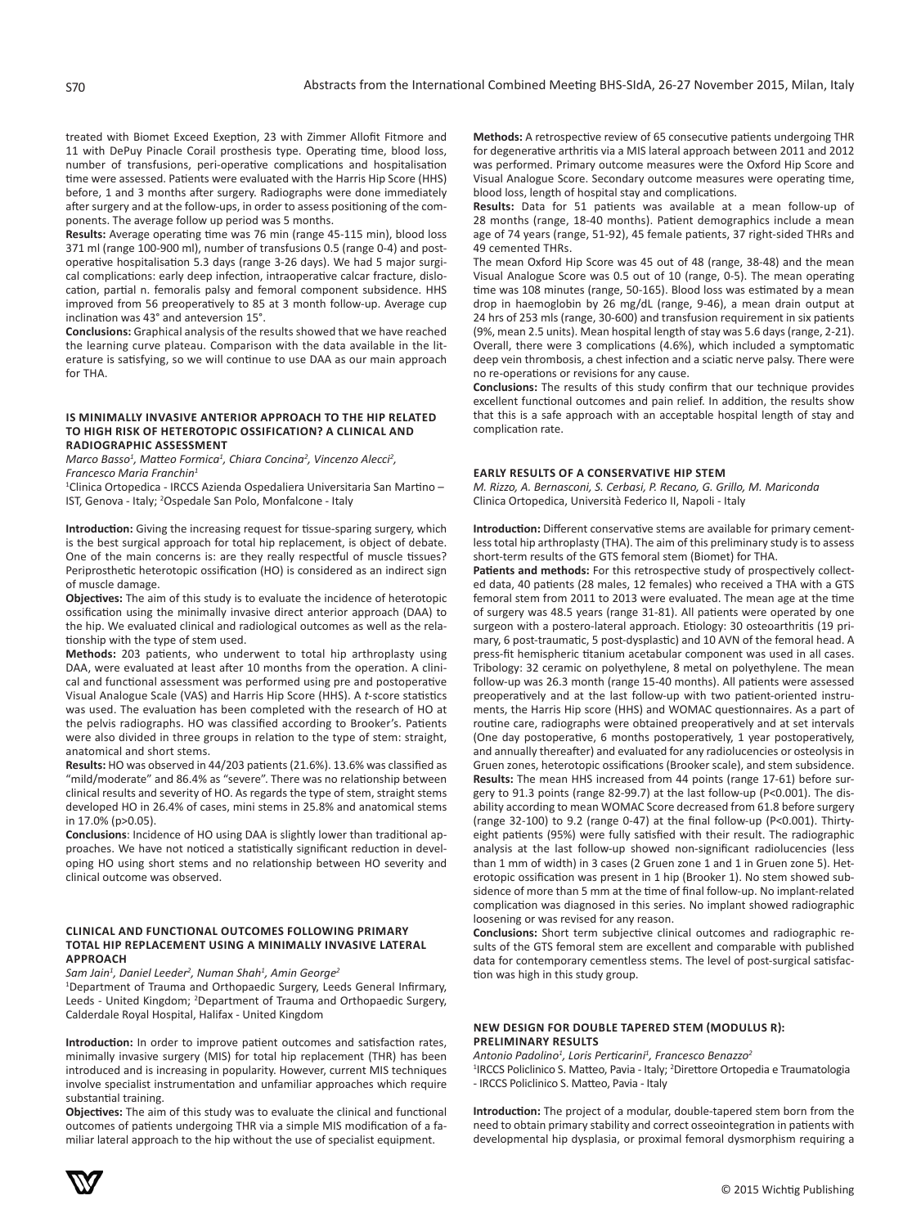treated with Biomet Exceed Exeption, 23 with Zimmer Allofit Fitmore and 11 with DePuy Pinacle Corail prosthesis type. Operating time, blood loss, number of transfusions, peri-operative complications and hospitalisation time were assessed. Patients were evaluated with the Harris Hip Score (HHS) before, 1 and 3 months after surgery. Radiographs were done immediately after surgery and at the follow-ups, in order to assess positioning of the components. The average follow up period was 5 months.

**Results:** Average operating time was 76 min (range 45-115 min), blood loss 371 ml (range 100-900 ml), number of transfusions 0.5 (range 0-4) and postoperative hospitalisation 5.3 days (range 3-26 days). We had 5 major surgical complications: early deep infection, intraoperative calcar fracture, dislocation, partial n. femoralis palsy and femoral component subsidence. HHS improved from 56 preoperatively to 85 at 3 month follow-up. Average cup inclination was 43° and anteversion 15°.

**Conclusions:** Graphical analysis of the results showed that we have reached the learning curve plateau. Comparison with the data available in the literature is satisfying, so we will continue to use DAA as our main approach for THA.

## **IS MINIMALLY INVASIVE ANTERIOR APPROACH TO THE HIP RELATED TO HIGH RISK OF HETEROTOPIC OSSIFICATION? A CLINICAL AND RADIOGRAPHIC ASSESSMENT**

Marco Basso<sup>1</sup>, Matteo Formica<sup>1</sup>, Chiara Concina<sup>2</sup>, Vincenzo Alecci<sup>2</sup>, *Francesco Maria Franchin1* 

1 Clinica Ortopedica - IRCCS Azienda Ospedaliera Universitaria San Martino – IST, Genova - Italy; <sup>2</sup>Ospedale San Polo, Monfalcone - Italy

**Introduction:** Giving the increasing request for tissue-sparing surgery, which is the best surgical approach for total hip replacement, is object of debate. One of the main concerns is: are they really respectful of muscle tissues? Periprosthetic heterotopic ossification (HO) is considered as an indirect sign of muscle damage.

**Objectives:** The aim of this study is to evaluate the incidence of heterotopic ossification using the minimally invasive direct anterior approach (DAA) to the hip. We evaluated clinical and radiological outcomes as well as the relationship with the type of stem used.

**Methods:** 203 patients, who underwent to total hip arthroplasty using DAA, were evaluated at least after 10 months from the operation. A clinical and functional assessment was performed using pre and postoperative Visual Analogue Scale (VAS) and Harris Hip Score (HHS). A *t*-score statistics was used. The evaluation has been completed with the research of HO at the pelvis radiographs. HO was classified according to Brooker's. Patients were also divided in three groups in relation to the type of stem: straight, anatomical and short stems.

**Results:** HO was observed in 44/203 patients (21.6%). 13.6% was classified as "mild/moderate" and 86.4% as "severe". There was no relationship between clinical results and severity of HO. As regards the type of stem, straight stems developed HO in 26.4% of cases, mini stems in 25.8% and anatomical stems in 17.0% (p>0.05).

**Conclusions**: Incidence of HO using DAA is slightly lower than traditional approaches. We have not noticed a statistically significant reduction in developing HO using short stems and no relationship between HO severity and clinical outcome was observed.

## **CLINICAL AND FUNCTIONAL OUTCOMES FOLLOWING PRIMARY TOTAL HIP REPLACEMENT USING A MINIMALLY INVASIVE LATERAL APPROACH**

*Sam Jain1 , Daniel Leeder2 , Numan Shah1 , Amin George2* 

<sup>1</sup>Department of Trauma and Orthopaedic Surgery, Leeds General Infirmary, Leeds - United Kingdom; <sup>2</sup>Department of Trauma and Orthopaedic Surgery, Calderdale Royal Hospital, Halifax - United Kingdom

**Introduction:** In order to improve patient outcomes and satisfaction rates, minimally invasive surgery (MIS) for total hip replacement (THR) has been introduced and is increasing in popularity. However, current MIS techniques involve specialist instrumentation and unfamiliar approaches which require substantial training.

**Objectives:** The aim of this study was to evaluate the clinical and functional outcomes of patients undergoing THR via a simple MIS modification of a familiar lateral approach to the hip without the use of specialist equipment.

**Methods:** A retrospective review of 65 consecutive patients undergoing THR for degenerative arthritis via a MIS lateral approach between 2011 and 2012 was performed. Primary outcome measures were the Oxford Hip Score and Visual Analogue Score. Secondary outcome measures were operating time, blood loss, length of hospital stay and complications.

**Results:** Data for 51 patients was available at a mean follow-up of 28 months (range, 18-40 months). Patient demographics include a mean age of 74 years (range, 51-92), 45 female patients, 37 right-sided THRs and 49 cemented THRs.

The mean Oxford Hip Score was 45 out of 48 (range, 38-48) and the mean Visual Analogue Score was 0.5 out of 10 (range, 0-5). The mean operating time was 108 minutes (range, 50-165). Blood loss was estimated by a mean drop in haemoglobin by 26 mg/dL (range, 9-46), a mean drain output at 24 hrs of 253 mls (range, 30-600) and transfusion requirement in six patients (9%, mean 2.5 units). Mean hospital length of stay was 5.6 days (range, 2-21). Overall, there were 3 complications (4.6%), which included a symptomatic deep vein thrombosis, a chest infection and a sciatic nerve palsy. There were no re-operations or revisions for any cause.

**Conclusions:** The results of this study confirm that our technique provides excellent functional outcomes and pain relief. In addition, the results show that this is a safe approach with an acceptable hospital length of stay and complication rate.

#### **EARLY RESULTS OF A CONSERVATIVE HIP STEM**

*M. Rizzo, A. Bernasconi, S. Cerbasi, P. Recano, G. Grillo, M. Mariconda* Clinica Ortopedica, Università Federico II, Napoli - Italy

**Introduction:** Different conservative stems are available for primary cementless total hip arthroplasty (THA). The aim of this preliminary study is to assess short-term results of the GTS femoral stem (Biomet) for THA.

Patients and methods: For this retrospective study of prospectively collected data, 40 patients (28 males, 12 females) who received a THA with a GTS femoral stem from 2011 to 2013 were evaluated. The mean age at the time of surgery was 48.5 years (range 31-81). All patients were operated by one surgeon with a postero-lateral approach. Etiology: 30 osteoarthritis (19 primary, 6 post-traumatic, 5 post-dysplastic) and 10 AVN of the femoral head. A press-fit hemispheric titanium acetabular component was used in all cases. Tribology: 32 ceramic on polyethylene, 8 metal on polyethylene. The mean follow-up was 26.3 month (range 15-40 months). All patients were assessed preoperatively and at the last follow-up with two patient-oriented instruments, the Harris Hip score (HHS) and WOMAC questionnaires. As a part of routine care, radiographs were obtained preoperatively and at set intervals (One day postoperative, 6 months postoperatively, 1 year postoperatively, and annually thereafter) and evaluated for any radiolucencies or osteolysis in Gruen zones, heterotopic ossifications (Brooker scale), and stem subsidence. **Results:** The mean HHS increased from 44 points (range 17-61) before surgery to 91.3 points (range 82-99.7) at the last follow-up (P<0.001). The disability according to mean WOMAC Score decreased from 61.8 before surgery (range 32-100) to 9.2 (range 0-47) at the final follow-up (P<0.001). Thirtyeight patients (95%) were fully satisfied with their result. The radiographic analysis at the last follow-up showed non-significant radiolucencies (less than 1 mm of width) in 3 cases (2 Gruen zone 1 and 1 in Gruen zone 5). Heterotopic ossification was present in 1 hip (Brooker 1). No stem showed subsidence of more than 5 mm at the time of final follow-up. No implant-related complication was diagnosed in this series. No implant showed radiographic loosening or was revised for any reason.

**Conclusions:** Short term subjective clinical outcomes and radiographic results of the GTS femoral stem are excellent and comparable with published data for contemporary cementless stems. The level of post-surgical satisfaction was high in this study group.

#### **NEW DESIGN FOR DOUBLE TAPERED STEM (MODULUS R): PRELIMINARY RESULTS**

*Antonio Padolino1 , Loris Perticarini<sup>1</sup> , Francesco Benazzo2*

<sup>1</sup>IRCCS Policlinico S. Matteo, Pavia - Italy; <sup>2</sup>Direttore Ortopedia e Traumatologia - IRCCS Policlinico S. Matteo, Pavia - Italy

**Introduction:** The project of a modular, double-tapered stem born from the need to obtain primary stability and correct osseointegration in patients with developmental hip dysplasia, or proximal femoral dysmorphism requiring a

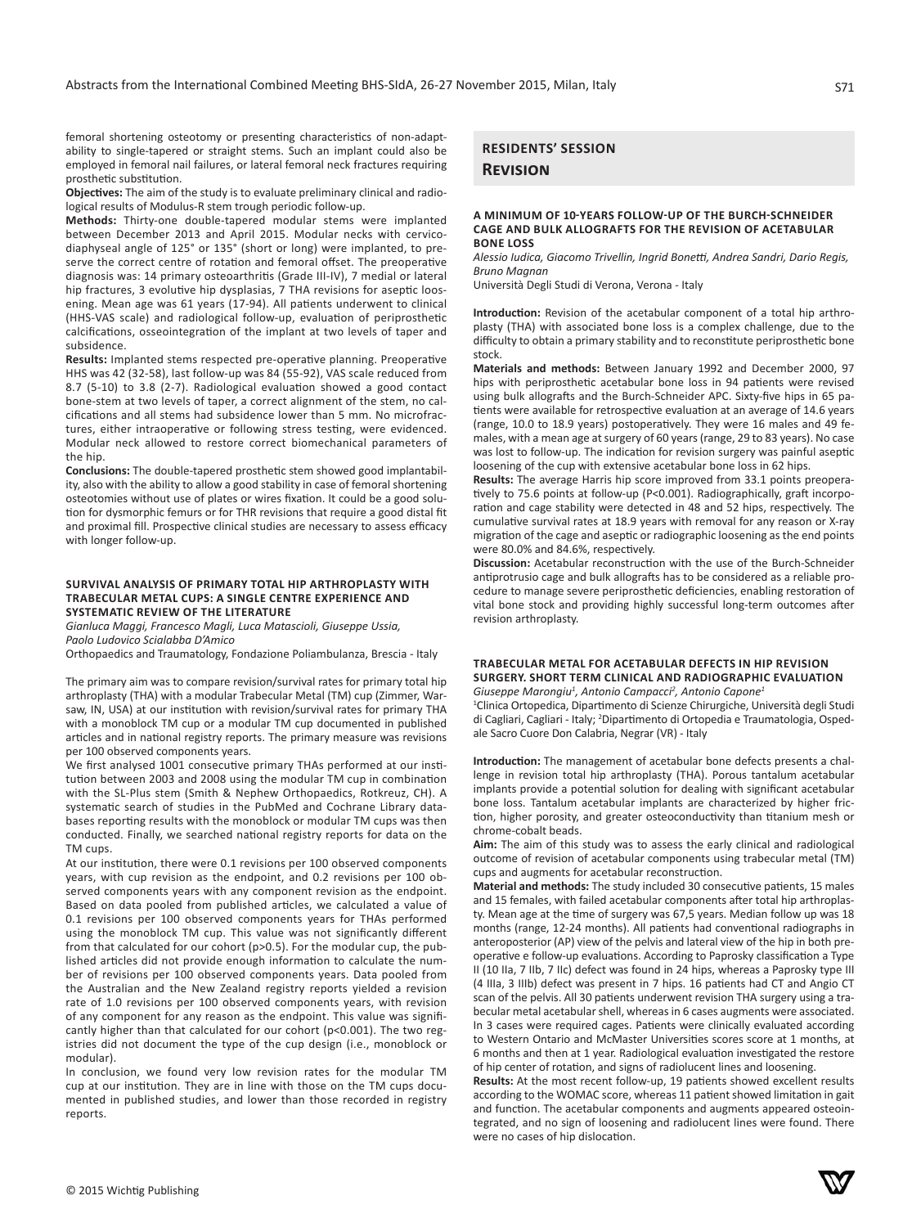femoral shortening osteotomy or presenting characteristics of non-adaptability to single-tapered or straight stems. Such an implant could also be employed in femoral nail failures, or lateral femoral neck fractures requiring prosthetic substitution.

**Objectives:** The aim of the study is to evaluate preliminary clinical and radiological results of Modulus-R stem trough periodic follow-up.

**Methods:** Thirty-one double-tapered modular stems were implanted between December 2013 and April 2015. Modular necks with cervicodiaphyseal angle of 125° or 135° (short or long) were implanted, to preserve the correct centre of rotation and femoral offset. The preoperative diagnosis was: 14 primary osteoarthritis (Grade III-IV), 7 medial or lateral hip fractures, 3 evolutive hip dysplasias, 7 THA revisions for aseptic loosening. Mean age was 61 years (17-94). All patients underwent to clinical (HHS-VAS scale) and radiological follow-up, evaluation of periprosthetic calcifications, osseointegration of the implant at two levels of taper and subsidence.

**Results:** Implanted stems respected pre-operative planning. Preoperative HHS was 42 (32-58), last follow-up was 84 (55-92), VAS scale reduced from 8.7 (5-10) to 3.8 (2-7). Radiological evaluation showed a good contact bone-stem at two levels of taper, a correct alignment of the stem, no calcifications and all stems had subsidence lower than 5 mm. No microfractures, either intraoperative or following stress testing, were evidenced. Modular neck allowed to restore correct biomechanical parameters of the hip.

**Conclusions:** The double-tapered prosthetic stem showed good implantability, also with the ability to allow a good stability in case of femoral shortening osteotomies without use of plates or wires fixation. It could be a good solution for dysmorphic femurs or for THR revisions that require a good distal fit and proximal fill. Prospective clinical studies are necessary to assess efficacy with longer follow-up.

#### **SURVIVAL ANALYSIS OF PRIMARY TOTAL HIP ARTHROPLASTY WITH TRABECULAR METAL CUPS: A SINGLE CENTRE EXPERIENCE AND SYSTEMATIC REVIEW OF THE LITERATURE**

*Gianluca Maggi, Francesco Magli, Luca Matascioli, Giuseppe Ussia, Paolo Ludovico Scialabba D'Amico*

Orthopaedics and Traumatology, Fondazione Poliambulanza, Brescia - Italy

The primary aim was to compare revision/survival rates for primary total hip arthroplasty (THA) with a modular Trabecular Metal (TM) cup (Zimmer, Warsaw, IN, USA) at our institution with revision/survival rates for primary THA with a monoblock TM cup or a modular TM cup documented in published articles and in national registry reports. The primary measure was revisions per 100 observed components years.

We first analysed 1001 consecutive primary THAs performed at our institution between 2003 and 2008 using the modular TM cup in combination with the SL-Plus stem (Smith & Nephew Orthopaedics, Rotkreuz, CH). A systematic search of studies in the PubMed and Cochrane Library databases reporting results with the monoblock or modular TM cups was then conducted. Finally, we searched national registry reports for data on the TM cups.

At our institution, there were 0.1 revisions per 100 observed components years, with cup revision as the endpoint, and 0.2 revisions per 100 observed components years with any component revision as the endpoint. Based on data pooled from published articles, we calculated a value of 0.1 revisions per 100 observed components years for THAs performed using the monoblock TM cup. This value was not significantly different from that calculated for our cohort (p>0.5). For the modular cup, the published articles did not provide enough information to calculate the number of revisions per 100 observed components years. Data pooled from the Australian and the New Zealand registry reports yielded a revision rate of 1.0 revisions per 100 observed components years, with revision of any component for any reason as the endpoint. This value was significantly higher than that calculated for our cohort (p<0.001). The two registries did not document the type of the cup design (i.e., monoblock or modular).

In conclusion, we found very low revision rates for the modular TM cup at our institution. They are in line with those on the TM cups documented in published studies, and lower than those recorded in registry reports.

# **RESIDENTS' SESSION Revision**

#### **A MINIMUM OF 10-YEARS FOLLOW-UP OF THE BURCH-SCHNEIDER CAGE AND BULK ALLOGRAFTS FOR THE REVISION OF ACETABULAR BONE LOSS**

*Alessio Iudica, Giacomo Trivellin, Ingrid Bonetti, Andrea Sandri, Dario Regis, Bruno Magnan*

Università Degli Studi di Verona, Verona - Italy

**Introduction:** Revision of the acetabular component of a total hip arthroplasty (THA) with associated bone loss is a complex challenge, due to the difficulty to obtain a primary stability and to reconstitute periprosthetic bone stock.

**Materials and methods:** Between January 1992 and December 2000, 97 hips with periprosthetic acetabular bone loss in 94 patients were revised using bulk allografts and the Burch-Schneider APC. Sixty-five hips in 65 patients were available for retrospective evaluation at an average of 14.6 years (range, 10.0 to 18.9 years) postoperatively. They were 16 males and 49 females, with a mean age at surgery of 60 years (range, 29 to 83 years). No case was lost to follow-up. The indication for revision surgery was painful aseptic loosening of the cup with extensive acetabular bone loss in 62 hips.

**Results:** The average Harris hip score improved from 33.1 points preoperatively to 75.6 points at follow-up (P<0.001). Radiographically, graft incorporation and cage stability were detected in 48 and 52 hips, respectively. The cumulative survival rates at 18.9 years with removal for any reason or X-ray migration of the cage and aseptic or radiographic loosening as the end points were 80.0% and 84.6%, respectively.

**Discussion:** Acetabular reconstruction with the use of the Burch-Schneider antiprotrusio cage and bulk allografts has to be considered as a reliable procedure to manage severe periprosthetic deficiencies, enabling restoration of vital bone stock and providing highly successful long-term outcomes after revision arthroplasty.

## **TRABECULAR METAL FOR ACETABULAR DEFECTS IN HIP REVISION SURGERY. SHORT TERM CLINICAL AND RADIOGRAPHIC EVALUATION** *Giuseppe Marongiu1 , Antonio Campacci2 , Antonio Capone1*

1 Clinica Ortopedica, Dipartimento di Scienze Chirurgiche, Università degli Studi di Cagliari, Cagliari - Italy; <sup>2</sup>Dipartimento di Ortopedia e Traumatologia, Ospedale Sacro Cuore Don Calabria, Negrar (VR) - Italy

**Introduction:** The management of acetabular bone defects presents a challenge in revision total hip arthroplasty (THA). Porous tantalum acetabular implants provide a potential solution for dealing with significant acetabular bone loss. Tantalum acetabular implants are characterized by higher friction, higher porosity, and greater osteoconductivity than titanium mesh or chrome-cobalt beads.

**Aim:** The aim of this study was to assess the early clinical and radiological outcome of revision of acetabular components using trabecular metal (TM) cups and augments for acetabular reconstruction.

**Material and methods:** The study included 30 consecutive patients, 15 males and 15 females, with failed acetabular components after total hip arthroplasty. Mean age at the time of surgery was 67,5 years. Median follow up was 18 months (range, 12-24 months). All patients had conventional radiographs in anteroposterior (AP) view of the pelvis and lateral view of the hip in both preoperative e follow-up evaluations. According to Paprosky classification a Type II (10 IIa, 7 IIb, 7 IIc) defect was found in 24 hips, whereas a Paprosky type III (4 IIIa, 3 IIIb) defect was present in 7 hips. 16 patients had CT and Angio CT scan of the pelvis. All 30 patients underwent revision THA surgery using a trabecular metal acetabular shell, whereas in 6 cases augments were associated. In 3 cases were required cages. Patients were clinically evaluated according to Western Ontario and McMaster Universities scores score at 1 months, at 6 months and then at 1 year. Radiological evaluation investigated the restore of hip center of rotation, and signs of radiolucent lines and loosening.

**Results:** At the most recent follow-up, 19 patients showed excellent results according to the WOMAC score, whereas 11 patient showed limitation in gait and function. The acetabular components and augments appeared osteointegrated, and no sign of loosening and radiolucent lines were found. There were no cases of hip dislocation.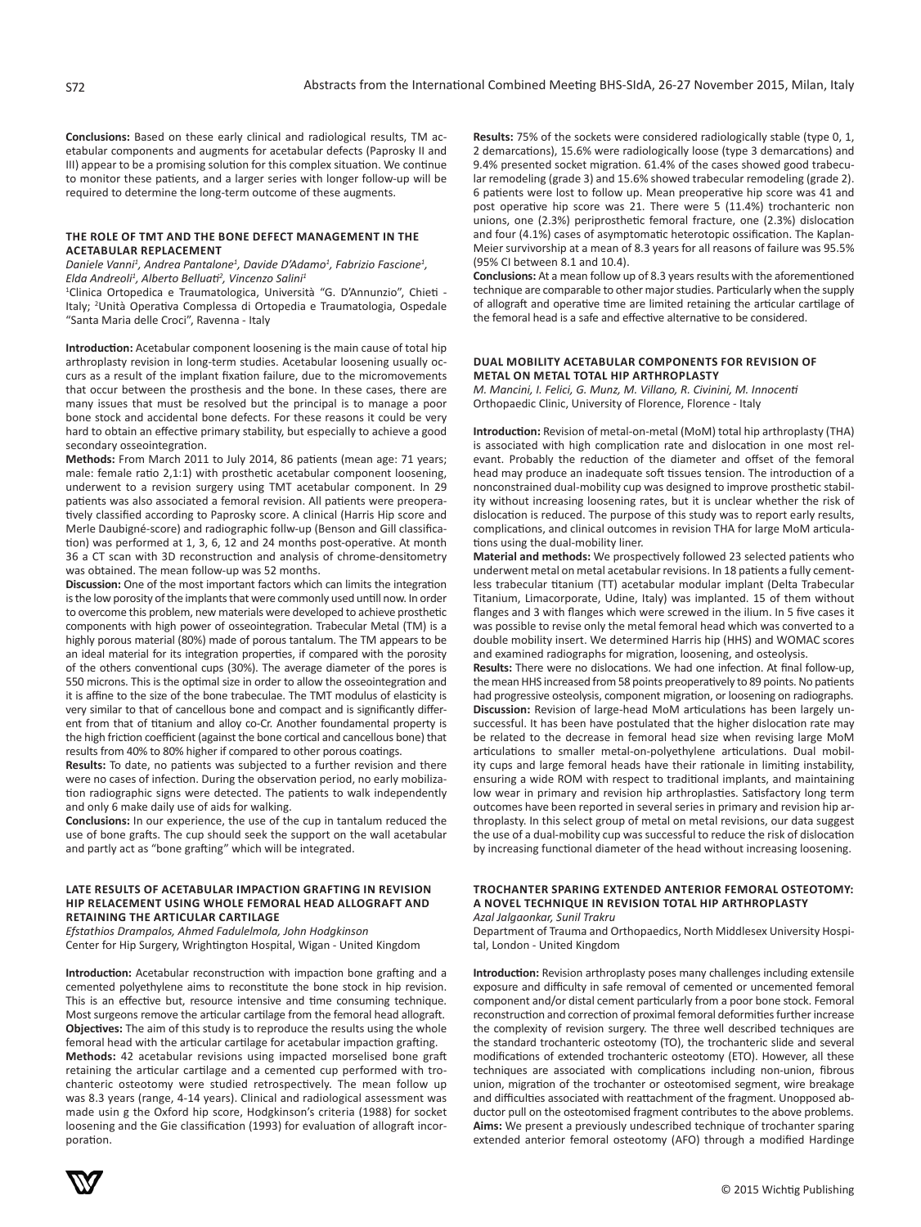**Conclusions:** Based on these early clinical and radiological results, TM acetabular components and augments for acetabular defects (Paprosky II and III) appear to be a promising solution for this complex situation. We continue to monitor these patients, and a larger series with longer follow-up will be required to determine the long-term outcome of these augments.

## **THE ROLE OF TMT AND THE BONE DEFECT MANAGEMENT IN THE ACETABULAR REPLACEMENT**

Daniele Vanni<sup>1</sup>, Andrea Pantalone<sup>1</sup>, Davide D'Adamo<sup>1</sup>, Fabrizio Fascione<sup>1</sup>, *Elda Andreoli1 , Alberto Belluati<sup>2</sup> , Vincenzo Salini<sup>1</sup>*

1 Clinica Ortopedica e Traumatologica, Università "G. D'Annunzio", Chieti - Italy; <sup>2</sup>Unità Operativa Complessa di Ortopedia e Traumatologia, Ospedale "Santa Maria delle Croci", Ravenna - Italy

**Introduction:** Acetabular component loosening is the main cause of total hip arthroplasty revision in long-term studies. Acetabular loosening usually occurs as a result of the implant fixation failure, due to the micromovements that occur between the prosthesis and the bone. In these cases, there are many issues that must be resolved but the principal is to manage a poor bone stock and accidental bone defects. For these reasons it could be very hard to obtain an effective primary stability, but especially to achieve a good secondary osseointegration.

**Methods:** From March 2011 to July 2014, 86 patients (mean age: 71 years; male: female ratio 2,1:1) with prosthetic acetabular component loosening, underwent to a revision surgery using TMT acetabular component. In 29 patients was also associated a femoral revision. All patients were preoperatively classified according to Paprosky score. A clinical (Harris Hip score and Merle Daubigné-score) and radiographic follw-up (Benson and Gill classification) was performed at 1, 3, 6, 12 and 24 months post-operative. At month 36 a CT scan with 3D reconstruction and analysis of chrome-densitometry was obtained. The mean follow-up was 52 months.

**Discussion:** One of the most important factors which can limits the integration is the low porosity of the implants that were commonly used untill now. In order to overcome this problem, new materials were developed to achieve prosthetic components with high power of osseointegration. Trabecular Metal (TM) is a highly porous material (80%) made of porous tantalum. The TM appears to be an ideal material for its integration properties, if compared with the porosity of the others conventional cups (30%). The average diameter of the pores is 550 microns. This is the optimal size in order to allow the osseointegration and it is affine to the size of the bone trabeculae. The TMT modulus of elasticity is very similar to that of cancellous bone and compact and is significantly different from that of titanium and alloy co-Cr. Another foundamental property is the high friction coefficient (against the bone cortical and cancellous bone) that results from 40% to 80% higher if compared to other porous coatings.

**Results:** To date, no patients was subjected to a further revision and there were no cases of infection. During the observation period, no early mobilization radiographic signs were detected. The patients to walk independently and only 6 make daily use of aids for walking.

**Conclusions:** In our experience, the use of the cup in tantalum reduced the use of bone grafts. The cup should seek the support on the wall acetabular and partly act as "bone grafting" which will be integrated.

### **LATE RESULTS OF ACETABULAR IMPACTION GRAFTING IN REVISION HIP RELACEMENT USING WHOLE FEMORAL HEAD ALLOGRAFT AND RETAINING THE ARTICULAR CARTILAGE**

*Efstathios Drampalos, Ahmed Fadulelmola, John Hodgkinson* Center for Hip Surgery, Wrightington Hospital, Wigan - United Kingdom

**Introduction:** Acetabular reconstruction with impaction bone grafting and a cemented polyethylene aims to reconstitute the bone stock in hip revision. This is an effective but, resource intensive and time consuming technique. Most surgeons remove the articular cartilage from the femoral head allograft. **Objectives:** The aim of this study is to reproduce the results using the whole femoral head with the articular cartilage for acetabular impaction grafting. **Methods:** 42 acetabular revisions using impacted morselised bone graft retaining the articular cartilage and a cemented cup performed with trochanteric osteotomy were studied retrospectively. The mean follow up was 8.3 years (range, 4-14 years). Clinical and radiological assessment was made usin g the Oxford hip score, Hodgkinson's criteria (1988) for socket loosening and the Gie classification (1993) for evaluation of allograft incorporation.

**Results:** 75% of the sockets were considered radiologically stable (type 0, 1, 2 demarcations), 15.6% were radiologically loose (type 3 demarcations) and 9.4% presented socket migration. 61.4% of the cases showed good trabecular remodeling (grade 3) and 15.6% showed trabecular remodeling (grade 2). 6 patients were lost to follow up. Mean preoperative hip score was 41 and post operative hip score was 21. There were 5 (11.4%) trochanteric non unions, one (2.3%) periprosthetic femoral fracture, one (2.3%) dislocation and four (4.1%) cases of asymptomatic heterotopic ossification. The Kaplan-Meier survivorship at a mean of 8.3 years for all reasons of failure was 95.5% (95% CI between 8.1 and 10.4).

**Conclusions:** At a mean follow up of 8.3 years results with the aforementioned technique are comparable to other major studies. Particularly when the supply of allograft and operative time are limited retaining the articular cartilage of the femoral head is a safe and effective alternative to be considered.

## **DUAL MOBILITY ACETABULAR COMPONENTS FOR REVISION OF METAL ON METAL TOTAL HIP ARTHROPLASTY**

*M. Mancini, I. Felici, G. Munz, M. Villano, R. Civinini, M. Innocenti*  Orthopaedic Clinic, University of Florence, Florence - Italy

**Introduction:** Revision of metal-on-metal (MoM) total hip arthroplasty (THA) is associated with high complication rate and dislocation in one most relevant. Probably the reduction of the diameter and offset of the femoral head may produce an inadequate soft tissues tension. The introduction of a nonconstrained dual-mobility cup was designed to improve prosthetic stability without increasing loosening rates, but it is unclear whether the risk of dislocation is reduced. The purpose of this study was to report early results, complications, and clinical outcomes in revision THA for large MoM articulations using the dual-mobility liner.

**Material and methods:** We prospectively followed 23 selected patients who underwent metal on metal acetabular revisions. In 18 patients a fully cementless trabecular titanium (TT) acetabular modular implant (Delta Trabecular Titanium, Limacorporate, Udine, Italy) was implanted. 15 of them without flanges and 3 with flanges which were screwed in the ilium. In 5 five cases it was possible to revise only the metal femoral head which was converted to a double mobility insert. We determined Harris hip (HHS) and WOMAC scores and examined radiographs for migration, loosening, and osteolysis.

**Results:** There were no dislocations. We had one infection. At final follow-up, the mean HHS increased from 58 points preoperatively to 89 points. No patients had progressive osteolysis, component migration, or loosening on radiographs. **Discussion:** Revision of large-head MoM articulations has been largely unsuccessful. It has been have postulated that the higher dislocation rate may be related to the decrease in femoral head size when revising large MoM articulations to smaller metal-on-polyethylene articulations. Dual mobility cups and large femoral heads have their rationale in limiting instability, ensuring a wide ROM with respect to traditional implants, and maintaining low wear in primary and revision hip arthroplasties. Satisfactory long term outcomes have been reported in several series in primary and revision hip arthroplasty. In this select group of metal on metal revisions, our data suggest the use of a dual-mobility cup was successful to reduce the risk of dislocation by increasing functional diameter of the head without increasing loosening.

# **TROCHANTER SPARING EXTENDED ANTERIOR FEMORAL OSTEOTOMY: A NOVEL TECHNIQUE IN REVISION TOTAL HIP ARTHROPLASTY**

*Azal Jalgaonkar, Sunil Trakru*

Department of Trauma and Orthopaedics, North Middlesex University Hospital, London - United Kingdom

**Introduction:** Revision arthroplasty poses many challenges including extensile exposure and difficulty in safe removal of cemented or uncemented femoral component and/or distal cement particularly from a poor bone stock. Femoral reconstruction and correction of proximal femoral deformities further increase the complexity of revision surgery. The three well described techniques are the standard trochanteric osteotomy (TO), the trochanteric slide and several modifications of extended trochanteric osteotomy (ETO). However, all these techniques are associated with complications including non-union, fibrous union, migration of the trochanter or osteotomised segment, wire breakage and difficulties associated with reattachment of the fragment. Unopposed abductor pull on the osteotomised fragment contributes to the above problems. **Aims:** We present a previously undescribed technique of trochanter sparing extended anterior femoral osteotomy (AFO) through a modified Hardinge